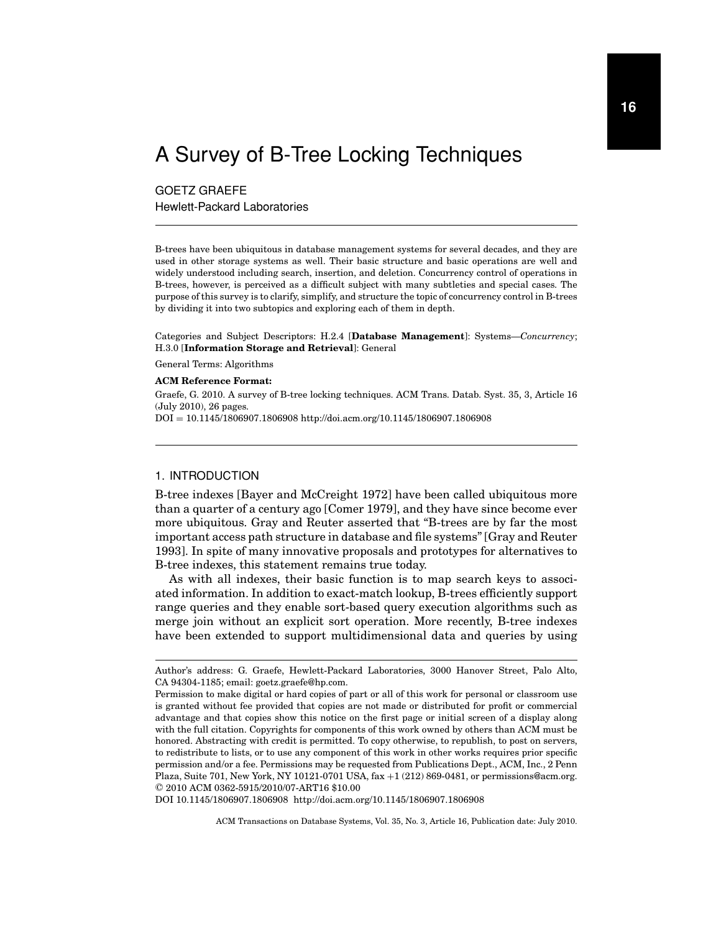# A Survey of B-Tree Locking Techniques

GOETZ GRAEFE Hewlett-Packard Laboratories

B-trees have been ubiquitous in database management systems for several decades, and they are used in other storage systems as well. Their basic structure and basic operations are well and widely understood including search, insertion, and deletion. Concurrency control of operations in B-trees, however, is perceived as a difficult subject with many subtleties and special cases. The purpose of this survey is to clarify, simplify, and structure the topic of concurrency control in B-trees by dividing it into two subtopics and exploring each of them in depth.

Categories and Subject Descriptors: H.2.4 [**Database Management**]: Systems—*Concurrency*; H.3.0 [**Information Storage and Retrieval**]: General

General Terms: Algorithms

**ACM Reference Format:**

Graefe, G. 2010. A survey of B-tree locking techniques. ACM Trans. Datab. Syst. 35, 3, Article 16 (July 2010), 26 pages. DOI = 10.1145/1806907.1806908 http://doi.acm.org/10.1145/1806907.1806908

## 1. INTRODUCTION

B-tree indexes [Bayer and McCreight 1972] have been called ubiquitous more than a quarter of a century ago [Comer 1979], and they have since become ever more ubiquitous. Gray and Reuter asserted that "B-trees are by far the most important access path structure in database and file systems" [Gray and Reuter 1993]. In spite of many innovative proposals and prototypes for alternatives to B-tree indexes, this statement remains true today.

As with all indexes, their basic function is to map search keys to associated information. In addition to exact-match lookup, B-trees efficiently support range queries and they enable sort-based query execution algorithms such as merge join without an explicit sort operation. More recently, B-tree indexes have been extended to support multidimensional data and queries by using

DOI 10.1145/1806907.1806908 http://doi.acm.org/10.1145/1806907.1806908

Author's address: G. Graefe, Hewlett-Packard Laboratories, 3000 Hanover Street, Palo Alto, CA 94304-1185; email: goetz.graefe@hp.com.

Permission to make digital or hard copies of part or all of this work for personal or classroom use is granted without fee provided that copies are not made or distributed for profit or commercial advantage and that copies show this notice on the first page or initial screen of a display along with the full citation. Copyrights for components of this work owned by others than ACM must be honored. Abstracting with credit is permitted. To copy otherwise, to republish, to post on servers, to redistribute to lists, or to use any component of this work in other works requires prior specific permission and/or a fee. Permissions may be requested from Publications Dept., ACM, Inc., 2 Penn Plaza, Suite 701, New York, NY 10121-0701 USA, fax +1 (212) 869-0481, or permissions@acm.org. -C 2010 ACM 0362-5915/2010/07-ART16 \$10.00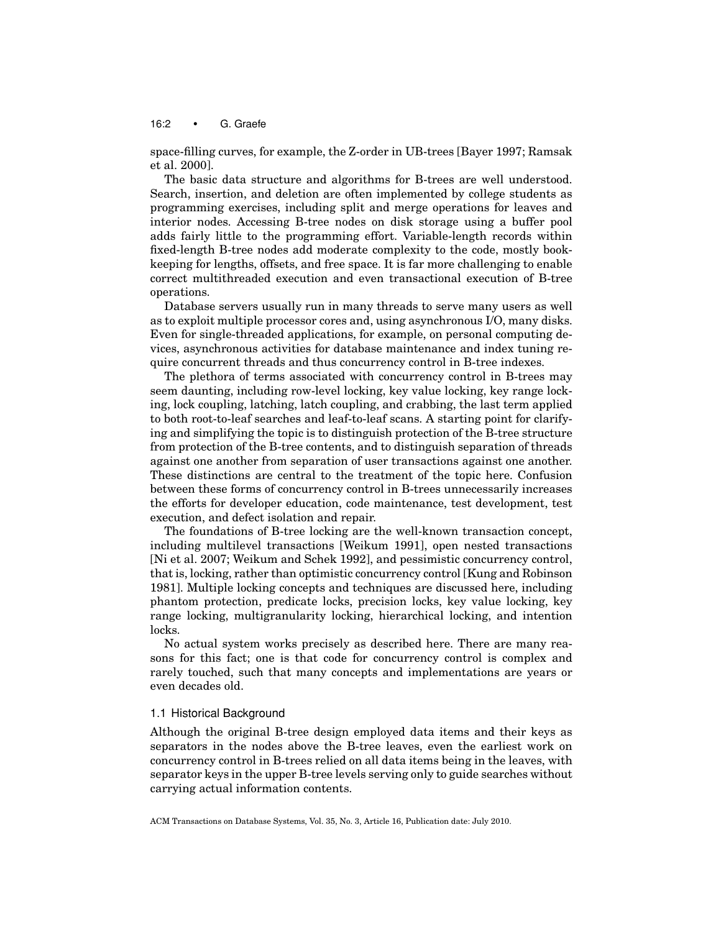## 16:2 • G. Graefe

space-filling curves, for example, the Z-order in UB-trees [Bayer 1997; Ramsak et al. 2000].

The basic data structure and algorithms for B-trees are well understood. Search, insertion, and deletion are often implemented by college students as programming exercises, including split and merge operations for leaves and interior nodes. Accessing B-tree nodes on disk storage using a buffer pool adds fairly little to the programming effort. Variable-length records within fixed-length B-tree nodes add moderate complexity to the code, mostly bookkeeping for lengths, offsets, and free space. It is far more challenging to enable correct multithreaded execution and even transactional execution of B-tree operations.

Database servers usually run in many threads to serve many users as well as to exploit multiple processor cores and, using asynchronous I/O, many disks. Even for single-threaded applications, for example, on personal computing devices, asynchronous activities for database maintenance and index tuning require concurrent threads and thus concurrency control in B-tree indexes.

The plethora of terms associated with concurrency control in B-trees may seem daunting, including row-level locking, key value locking, key range locking, lock coupling, latching, latch coupling, and crabbing, the last term applied to both root-to-leaf searches and leaf-to-leaf scans. A starting point for clarifying and simplifying the topic is to distinguish protection of the B-tree structure from protection of the B-tree contents, and to distinguish separation of threads against one another from separation of user transactions against one another. These distinctions are central to the treatment of the topic here. Confusion between these forms of concurrency control in B-trees unnecessarily increases the efforts for developer education, code maintenance, test development, test execution, and defect isolation and repair.

The foundations of B-tree locking are the well-known transaction concept, including multilevel transactions [Weikum 1991], open nested transactions [Ni et al. 2007; Weikum and Schek 1992], and pessimistic concurrency control, that is, locking, rather than optimistic concurrency control [Kung and Robinson 1981]. Multiple locking concepts and techniques are discussed here, including phantom protection, predicate locks, precision locks, key value locking, key range locking, multigranularity locking, hierarchical locking, and intention locks.

No actual system works precisely as described here. There are many reasons for this fact; one is that code for concurrency control is complex and rarely touched, such that many concepts and implementations are years or even decades old.

#### 1.1 Historical Background

Although the original B-tree design employed data items and their keys as separators in the nodes above the B-tree leaves, even the earliest work on concurrency control in B-trees relied on all data items being in the leaves, with separator keys in the upper B-tree levels serving only to guide searches without carrying actual information contents.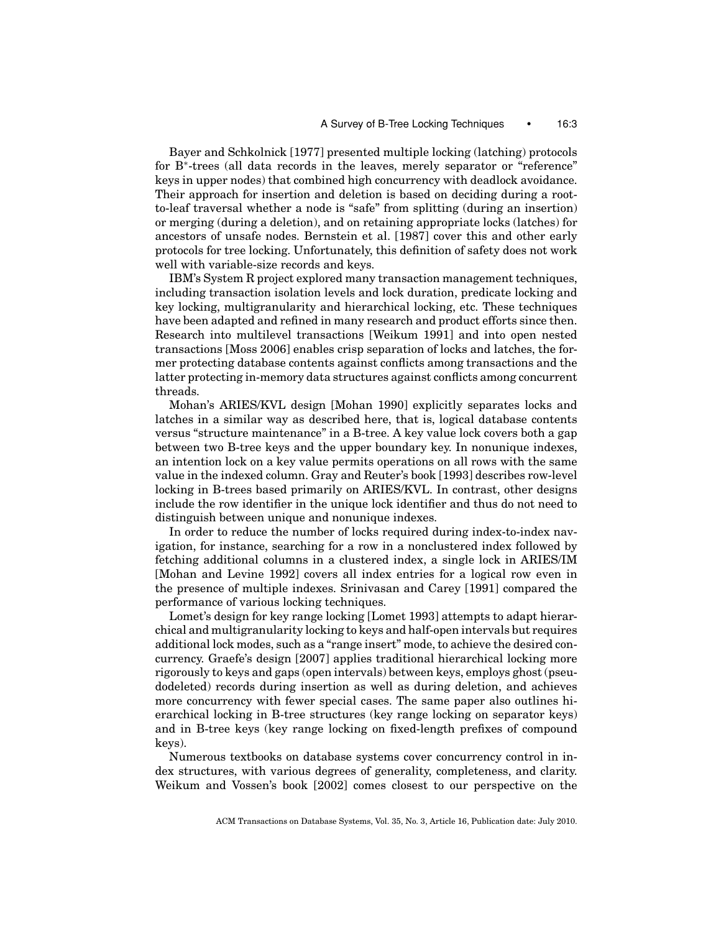Bayer and Schkolnick [1977] presented multiple locking (latching) protocols for B∗-trees (all data records in the leaves, merely separator or "reference" keys in upper nodes) that combined high concurrency with deadlock avoidance. Their approach for insertion and deletion is based on deciding during a rootto-leaf traversal whether a node is "safe" from splitting (during an insertion) or merging (during a deletion), and on retaining appropriate locks (latches) for ancestors of unsafe nodes. Bernstein et al. [1987] cover this and other early protocols for tree locking. Unfortunately, this definition of safety does not work well with variable-size records and keys.

IBM's System R project explored many transaction management techniques, including transaction isolation levels and lock duration, predicate locking and key locking, multigranularity and hierarchical locking, etc. These techniques have been adapted and refined in many research and product efforts since then. Research into multilevel transactions [Weikum 1991] and into open nested transactions [Moss 2006] enables crisp separation of locks and latches, the former protecting database contents against conflicts among transactions and the latter protecting in-memory data structures against conflicts among concurrent threads.

Mohan's ARIES/KVL design [Mohan 1990] explicitly separates locks and latches in a similar way as described here, that is, logical database contents versus "structure maintenance" in a B-tree. A key value lock covers both a gap between two B-tree keys and the upper boundary key. In nonunique indexes, an intention lock on a key value permits operations on all rows with the same value in the indexed column. Gray and Reuter's book [1993] describes row-level locking in B-trees based primarily on ARIES/KVL. In contrast, other designs include the row identifier in the unique lock identifier and thus do not need to distinguish between unique and nonunique indexes.

In order to reduce the number of locks required during index-to-index navigation, for instance, searching for a row in a nonclustered index followed by fetching additional columns in a clustered index, a single lock in ARIES/IM [Mohan and Levine 1992] covers all index entries for a logical row even in the presence of multiple indexes. Srinivasan and Carey [1991] compared the performance of various locking techniques.

Lomet's design for key range locking [Lomet 1993] attempts to adapt hierarchical and multigranularity locking to keys and half-open intervals but requires additional lock modes, such as a "range insert" mode, to achieve the desired concurrency. Graefe's design [2007] applies traditional hierarchical locking more rigorously to keys and gaps (open intervals) between keys, employs ghost (pseudodeleted) records during insertion as well as during deletion, and achieves more concurrency with fewer special cases. The same paper also outlines hierarchical locking in B-tree structures (key range locking on separator keys) and in B-tree keys (key range locking on fixed-length prefixes of compound keys).

Numerous textbooks on database systems cover concurrency control in index structures, with various degrees of generality, completeness, and clarity. Weikum and Vossen's book [2002] comes closest to our perspective on the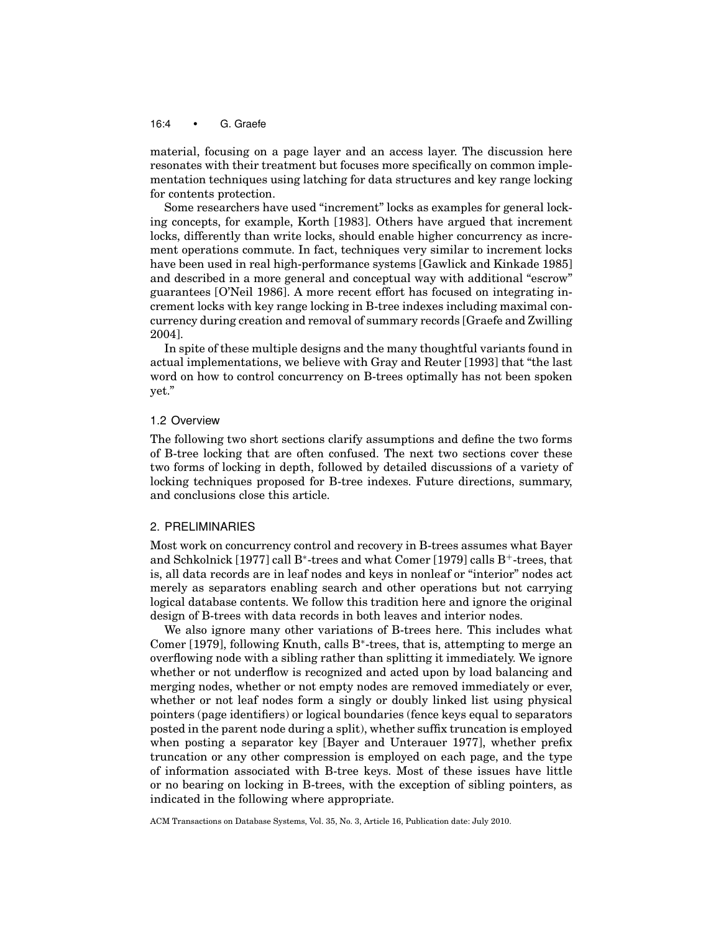## 16:4 • G. Graefe

material, focusing on a page layer and an access layer. The discussion here resonates with their treatment but focuses more specifically on common implementation techniques using latching for data structures and key range locking for contents protection.

Some researchers have used "increment" locks as examples for general locking concepts, for example, Korth [1983]. Others have argued that increment locks, differently than write locks, should enable higher concurrency as increment operations commute. In fact, techniques very similar to increment locks have been used in real high-performance systems [Gawlick and Kinkade 1985] and described in a more general and conceptual way with additional "escrow" guarantees [O'Neil 1986]. A more recent effort has focused on integrating increment locks with key range locking in B-tree indexes including maximal concurrency during creation and removal of summary records [Graefe and Zwilling 2004].

In spite of these multiple designs and the many thoughtful variants found in actual implementations, we believe with Gray and Reuter [1993] that "the last word on how to control concurrency on B-trees optimally has not been spoken yet."

# 1.2 Overview

The following two short sections clarify assumptions and define the two forms of B-tree locking that are often confused. The next two sections cover these two forms of locking in depth, followed by detailed discussions of a variety of locking techniques proposed for B-tree indexes. Future directions, summary, and conclusions close this article.

## 2. PRELIMINARIES

Most work on concurrency control and recovery in B-trees assumes what Bayer and Schkolnick [1977] call B<sup>\*</sup>-trees and what Comer [1979] calls B<sup>+</sup>-trees, that is, all data records are in leaf nodes and keys in nonleaf or "interior" nodes act merely as separators enabling search and other operations but not carrying logical database contents. We follow this tradition here and ignore the original design of B-trees with data records in both leaves and interior nodes.

We also ignore many other variations of B-trees here. This includes what Comer [1979], following Knuth, calls B∗-trees, that is, attempting to merge an overflowing node with a sibling rather than splitting it immediately. We ignore whether or not underflow is recognized and acted upon by load balancing and merging nodes, whether or not empty nodes are removed immediately or ever, whether or not leaf nodes form a singly or doubly linked list using physical pointers (page identifiers) or logical boundaries (fence keys equal to separators posted in the parent node during a split), whether suffix truncation is employed when posting a separator key [Bayer and Unterauer 1977], whether prefix truncation or any other compression is employed on each page, and the type of information associated with B-tree keys. Most of these issues have little or no bearing on locking in B-trees, with the exception of sibling pointers, as indicated in the following where appropriate.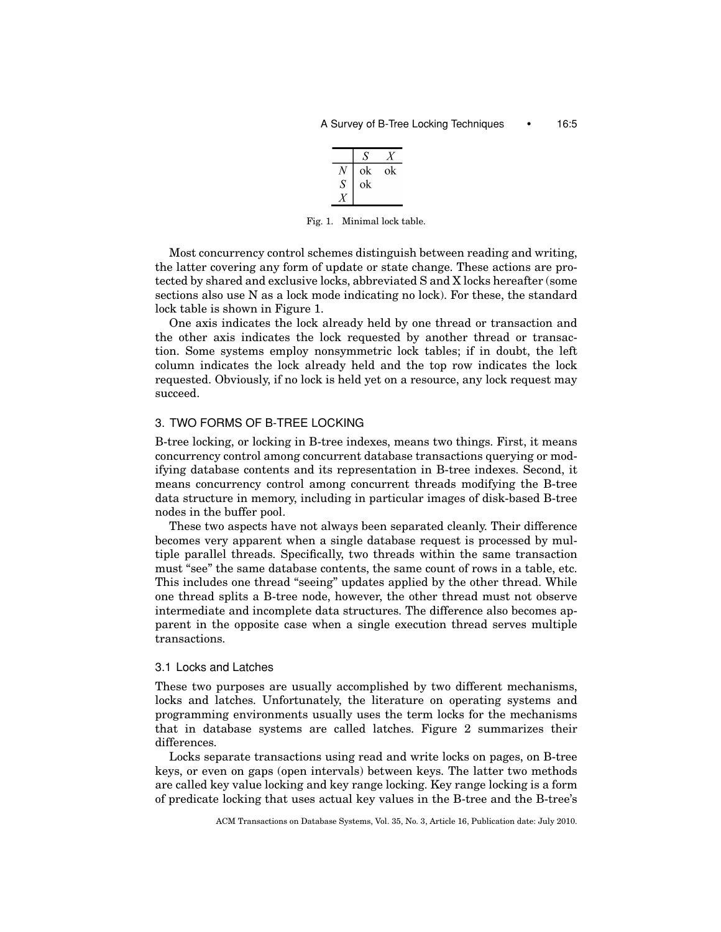| ok | ok |
|----|----|
| ok |    |
|    |    |

Fig. 1. Minimal lock table.

Most concurrency control schemes distinguish between reading and writing, the latter covering any form of update or state change. These actions are protected by shared and exclusive locks, abbreviated S and X locks hereafter (some sections also use N as a lock mode indicating no lock). For these, the standard lock table is shown in Figure 1.

One axis indicates the lock already held by one thread or transaction and the other axis indicates the lock requested by another thread or transaction. Some systems employ nonsymmetric lock tables; if in doubt, the left column indicates the lock already held and the top row indicates the lock requested. Obviously, if no lock is held yet on a resource, any lock request may succeed.

# 3. TWO FORMS OF B-TREE LOCKING

B-tree locking, or locking in B-tree indexes, means two things. First, it means concurrency control among concurrent database transactions querying or modifying database contents and its representation in B-tree indexes. Second, it means concurrency control among concurrent threads modifying the B-tree data structure in memory, including in particular images of disk-based B-tree nodes in the buffer pool.

These two aspects have not always been separated cleanly. Their difference becomes very apparent when a single database request is processed by multiple parallel threads. Specifically, two threads within the same transaction must "see" the same database contents, the same count of rows in a table, etc. This includes one thread "seeing" updates applied by the other thread. While one thread splits a B-tree node, however, the other thread must not observe intermediate and incomplete data structures. The difference also becomes apparent in the opposite case when a single execution thread serves multiple transactions.

#### 3.1 Locks and Latches

These two purposes are usually accomplished by two different mechanisms, locks and latches. Unfortunately, the literature on operating systems and programming environments usually uses the term locks for the mechanisms that in database systems are called latches. Figure 2 summarizes their differences.

Locks separate transactions using read and write locks on pages, on B-tree keys, or even on gaps (open intervals) between keys. The latter two methods are called key value locking and key range locking. Key range locking is a form of predicate locking that uses actual key values in the B-tree and the B-tree's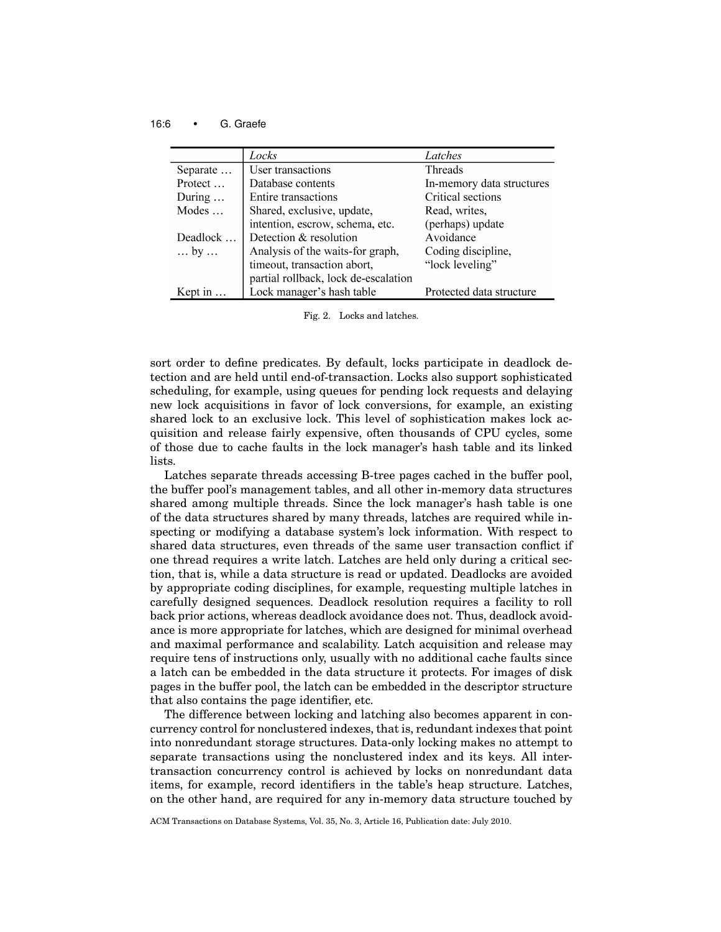#### 16:6 • G. Graefe

|                      | Locks                                | Latches                   |
|----------------------|--------------------------------------|---------------------------|
| Separate             | User transactions                    | <b>Threads</b>            |
| Protect              | Database contents                    | In-memory data structures |
| During $\dots$       | Entire transactions                  | Critical sections         |
| Modes $\dots$        | Shared, exclusive, update,           | Read, writes,             |
|                      | intention, escrow, schema, etc.      | (perhaps) update          |
| Deadlock             | Detection & resolution               | Avoidance                 |
| $\ldots$ by $\ldots$ | Analysis of the waits-for graph,     | Coding discipline,        |
|                      | timeout, transaction abort,          | "lock leveling"           |
|                      | partial rollback, lock de-escalation |                           |
| Kept in              | Lock manager's hash table            | Protected data structure  |

Fig. 2. Locks and latches.

sort order to define predicates. By default, locks participate in deadlock detection and are held until end-of-transaction. Locks also support sophisticated scheduling, for example, using queues for pending lock requests and delaying new lock acquisitions in favor of lock conversions, for example, an existing shared lock to an exclusive lock. This level of sophistication makes lock acquisition and release fairly expensive, often thousands of CPU cycles, some of those due to cache faults in the lock manager's hash table and its linked lists.

Latches separate threads accessing B-tree pages cached in the buffer pool, the buffer pool's management tables, and all other in-memory data structures shared among multiple threads. Since the lock manager's hash table is one of the data structures shared by many threads, latches are required while inspecting or modifying a database system's lock information. With respect to shared data structures, even threads of the same user transaction conflict if one thread requires a write latch. Latches are held only during a critical section, that is, while a data structure is read or updated. Deadlocks are avoided by appropriate coding disciplines, for example, requesting multiple latches in carefully designed sequences. Deadlock resolution requires a facility to roll back prior actions, whereas deadlock avoidance does not. Thus, deadlock avoidance is more appropriate for latches, which are designed for minimal overhead and maximal performance and scalability. Latch acquisition and release may require tens of instructions only, usually with no additional cache faults since a latch can be embedded in the data structure it protects. For images of disk pages in the buffer pool, the latch can be embedded in the descriptor structure that also contains the page identifier, etc.

The difference between locking and latching also becomes apparent in concurrency control for nonclustered indexes, that is, redundant indexes that point into nonredundant storage structures. Data-only locking makes no attempt to separate transactions using the nonclustered index and its keys. All intertransaction concurrency control is achieved by locks on nonredundant data items, for example, record identifiers in the table's heap structure. Latches, on the other hand, are required for any in-memory data structure touched by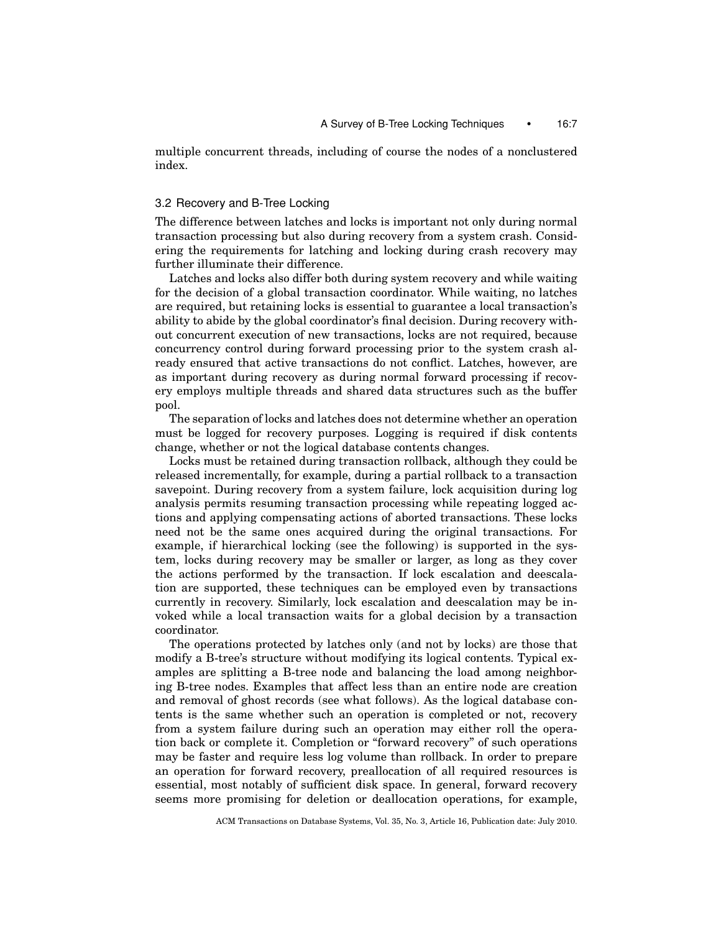multiple concurrent threads, including of course the nodes of a nonclustered index.

## 3.2 Recovery and B-Tree Locking

The difference between latches and locks is important not only during normal transaction processing but also during recovery from a system crash. Considering the requirements for latching and locking during crash recovery may further illuminate their difference.

Latches and locks also differ both during system recovery and while waiting for the decision of a global transaction coordinator. While waiting, no latches are required, but retaining locks is essential to guarantee a local transaction's ability to abide by the global coordinator's final decision. During recovery without concurrent execution of new transactions, locks are not required, because concurrency control during forward processing prior to the system crash already ensured that active transactions do not conflict. Latches, however, are as important during recovery as during normal forward processing if recovery employs multiple threads and shared data structures such as the buffer pool.

The separation of locks and latches does not determine whether an operation must be logged for recovery purposes. Logging is required if disk contents change, whether or not the logical database contents changes.

Locks must be retained during transaction rollback, although they could be released incrementally, for example, during a partial rollback to a transaction savepoint. During recovery from a system failure, lock acquisition during log analysis permits resuming transaction processing while repeating logged actions and applying compensating actions of aborted transactions. These locks need not be the same ones acquired during the original transactions. For example, if hierarchical locking (see the following) is supported in the system, locks during recovery may be smaller or larger, as long as they cover the actions performed by the transaction. If lock escalation and deescalation are supported, these techniques can be employed even by transactions currently in recovery. Similarly, lock escalation and deescalation may be invoked while a local transaction waits for a global decision by a transaction coordinator.

The operations protected by latches only (and not by locks) are those that modify a B-tree's structure without modifying its logical contents. Typical examples are splitting a B-tree node and balancing the load among neighboring B-tree nodes. Examples that affect less than an entire node are creation and removal of ghost records (see what follows). As the logical database contents is the same whether such an operation is completed or not, recovery from a system failure during such an operation may either roll the operation back or complete it. Completion or "forward recovery" of such operations may be faster and require less log volume than rollback. In order to prepare an operation for forward recovery, preallocation of all required resources is essential, most notably of sufficient disk space. In general, forward recovery seems more promising for deletion or deallocation operations, for example,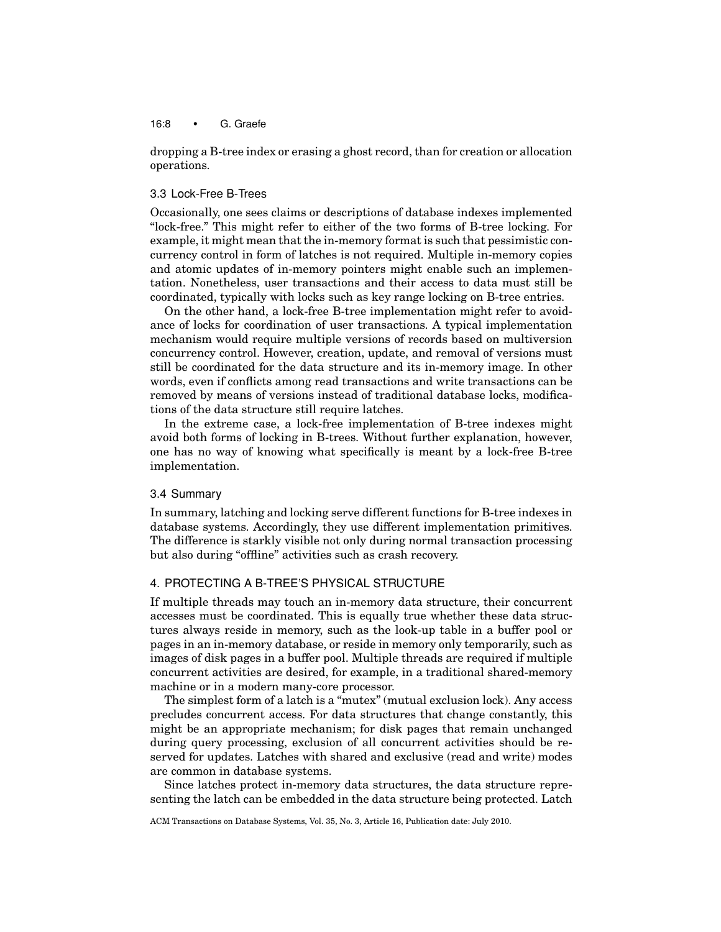## 16:8 • G. Graefe

dropping a B-tree index or erasing a ghost record, than for creation or allocation operations.

# 3.3 Lock-Free B-Trees

Occasionally, one sees claims or descriptions of database indexes implemented "lock-free." This might refer to either of the two forms of B-tree locking. For example, it might mean that the in-memory format is such that pessimistic concurrency control in form of latches is not required. Multiple in-memory copies and atomic updates of in-memory pointers might enable such an implementation. Nonetheless, user transactions and their access to data must still be coordinated, typically with locks such as key range locking on B-tree entries.

On the other hand, a lock-free B-tree implementation might refer to avoidance of locks for coordination of user transactions. A typical implementation mechanism would require multiple versions of records based on multiversion concurrency control. However, creation, update, and removal of versions must still be coordinated for the data structure and its in-memory image. In other words, even if conflicts among read transactions and write transactions can be removed by means of versions instead of traditional database locks, modifications of the data structure still require latches.

In the extreme case, a lock-free implementation of B-tree indexes might avoid both forms of locking in B-trees. Without further explanation, however, one has no way of knowing what specifically is meant by a lock-free B-tree implementation.

## 3.4 Summary

In summary, latching and locking serve different functions for B-tree indexes in database systems. Accordingly, they use different implementation primitives. The difference is starkly visible not only during normal transaction processing but also during "offline" activities such as crash recovery.

# 4. PROTECTING A B-TREE'S PHYSICAL STRUCTURE

If multiple threads may touch an in-memory data structure, their concurrent accesses must be coordinated. This is equally true whether these data structures always reside in memory, such as the look-up table in a buffer pool or pages in an in-memory database, or reside in memory only temporarily, such as images of disk pages in a buffer pool. Multiple threads are required if multiple concurrent activities are desired, for example, in a traditional shared-memory machine or in a modern many-core processor.

The simplest form of a latch is a "mutex" (mutual exclusion lock). Any access precludes concurrent access. For data structures that change constantly, this might be an appropriate mechanism; for disk pages that remain unchanged during query processing, exclusion of all concurrent activities should be reserved for updates. Latches with shared and exclusive (read and write) modes are common in database systems.

Since latches protect in-memory data structures, the data structure representing the latch can be embedded in the data structure being protected. Latch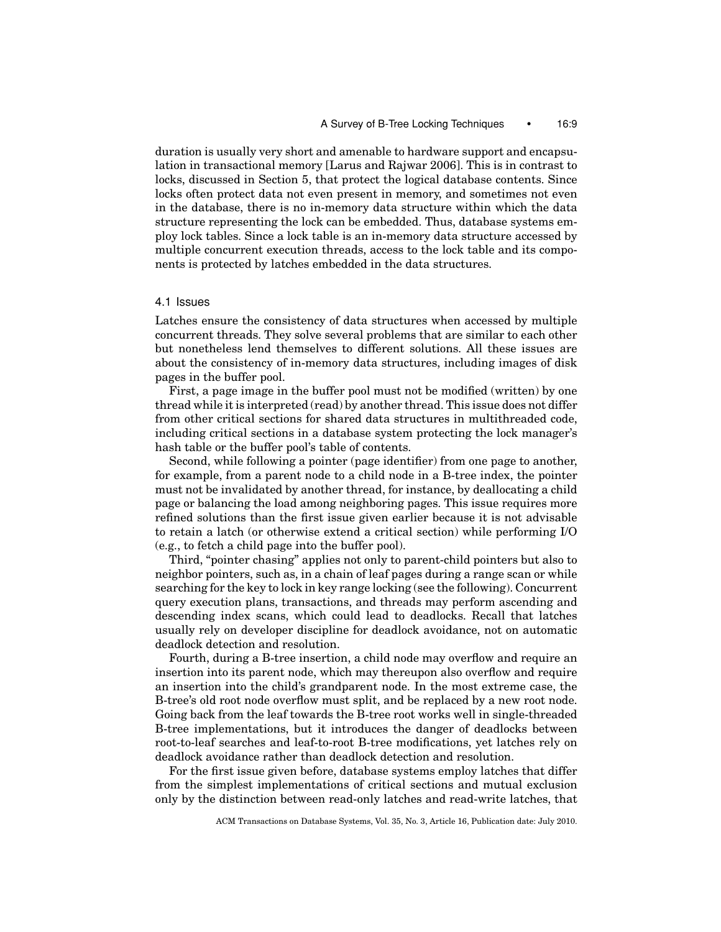duration is usually very short and amenable to hardware support and encapsulation in transactional memory [Larus and Rajwar 2006]. This is in contrast to locks, discussed in Section 5, that protect the logical database contents. Since locks often protect data not even present in memory, and sometimes not even in the database, there is no in-memory data structure within which the data structure representing the lock can be embedded. Thus, database systems employ lock tables. Since a lock table is an in-memory data structure accessed by multiple concurrent execution threads, access to the lock table and its components is protected by latches embedded in the data structures.

## 4.1 Issues

Latches ensure the consistency of data structures when accessed by multiple concurrent threads. They solve several problems that are similar to each other but nonetheless lend themselves to different solutions. All these issues are about the consistency of in-memory data structures, including images of disk pages in the buffer pool.

First, a page image in the buffer pool must not be modified (written) by one thread while it is interpreted (read) by another thread. This issue does not differ from other critical sections for shared data structures in multithreaded code, including critical sections in a database system protecting the lock manager's hash table or the buffer pool's table of contents.

Second, while following a pointer (page identifier) from one page to another, for example, from a parent node to a child node in a B-tree index, the pointer must not be invalidated by another thread, for instance, by deallocating a child page or balancing the load among neighboring pages. This issue requires more refined solutions than the first issue given earlier because it is not advisable to retain a latch (or otherwise extend a critical section) while performing I/O (e.g., to fetch a child page into the buffer pool).

Third, "pointer chasing" applies not only to parent-child pointers but also to neighbor pointers, such as, in a chain of leaf pages during a range scan or while searching for the key to lock in key range locking (see the following). Concurrent query execution plans, transactions, and threads may perform ascending and descending index scans, which could lead to deadlocks. Recall that latches usually rely on developer discipline for deadlock avoidance, not on automatic deadlock detection and resolution.

Fourth, during a B-tree insertion, a child node may overflow and require an insertion into its parent node, which may thereupon also overflow and require an insertion into the child's grandparent node. In the most extreme case, the B-tree's old root node overflow must split, and be replaced by a new root node. Going back from the leaf towards the B-tree root works well in single-threaded B-tree implementations, but it introduces the danger of deadlocks between root-to-leaf searches and leaf-to-root B-tree modifications, yet latches rely on deadlock avoidance rather than deadlock detection and resolution.

For the first issue given before, database systems employ latches that differ from the simplest implementations of critical sections and mutual exclusion only by the distinction between read-only latches and read-write latches, that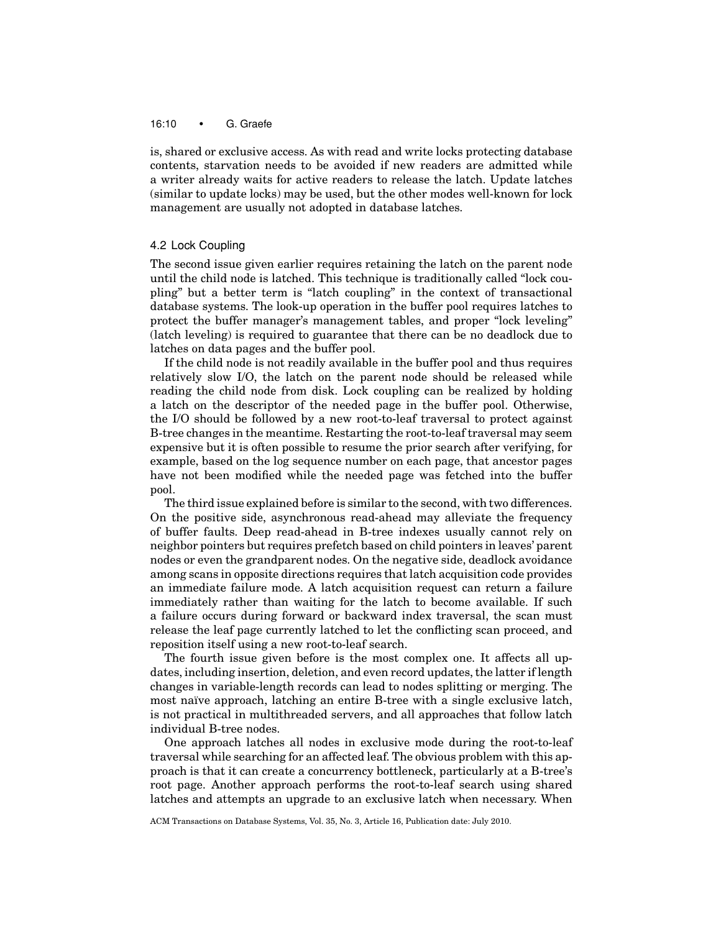#### 16:10 • G. Graefe

is, shared or exclusive access. As with read and write locks protecting database contents, starvation needs to be avoided if new readers are admitted while a writer already waits for active readers to release the latch. Update latches (similar to update locks) may be used, but the other modes well-known for lock management are usually not adopted in database latches.

# 4.2 Lock Coupling

The second issue given earlier requires retaining the latch on the parent node until the child node is latched. This technique is traditionally called "lock coupling" but a better term is "latch coupling" in the context of transactional database systems. The look-up operation in the buffer pool requires latches to protect the buffer manager's management tables, and proper "lock leveling" (latch leveling) is required to guarantee that there can be no deadlock due to latches on data pages and the buffer pool.

If the child node is not readily available in the buffer pool and thus requires relatively slow I/O, the latch on the parent node should be released while reading the child node from disk. Lock coupling can be realized by holding a latch on the descriptor of the needed page in the buffer pool. Otherwise, the I/O should be followed by a new root-to-leaf traversal to protect against B-tree changes in the meantime. Restarting the root-to-leaf traversal may seem expensive but it is often possible to resume the prior search after verifying, for example, based on the log sequence number on each page, that ancestor pages have not been modified while the needed page was fetched into the buffer pool.

The third issue explained before is similar to the second, with two differences. On the positive side, asynchronous read-ahead may alleviate the frequency of buffer faults. Deep read-ahead in B-tree indexes usually cannot rely on neighbor pointers but requires prefetch based on child pointers in leaves' parent nodes or even the grandparent nodes. On the negative side, deadlock avoidance among scans in opposite directions requires that latch acquisition code provides an immediate failure mode. A latch acquisition request can return a failure immediately rather than waiting for the latch to become available. If such a failure occurs during forward or backward index traversal, the scan must release the leaf page currently latched to let the conflicting scan proceed, and reposition itself using a new root-to-leaf search.

The fourth issue given before is the most complex one. It affects all updates, including insertion, deletion, and even record updates, the latter if length changes in variable-length records can lead to nodes splitting or merging. The most naïve approach, latching an entire B-tree with a single exclusive latch, is not practical in multithreaded servers, and all approaches that follow latch individual B-tree nodes.

One approach latches all nodes in exclusive mode during the root-to-leaf traversal while searching for an affected leaf. The obvious problem with this approach is that it can create a concurrency bottleneck, particularly at a B-tree's root page. Another approach performs the root-to-leaf search using shared latches and attempts an upgrade to an exclusive latch when necessary. When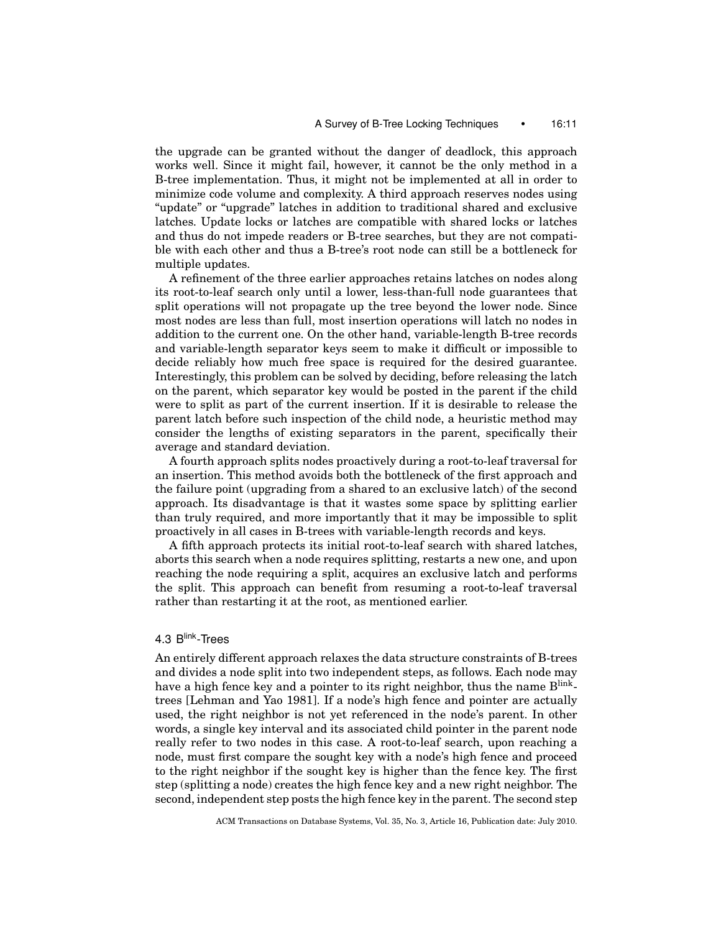the upgrade can be granted without the danger of deadlock, this approach works well. Since it might fail, however, it cannot be the only method in a B-tree implementation. Thus, it might not be implemented at all in order to minimize code volume and complexity. A third approach reserves nodes using "update" or "upgrade" latches in addition to traditional shared and exclusive latches. Update locks or latches are compatible with shared locks or latches and thus do not impede readers or B-tree searches, but they are not compatible with each other and thus a B-tree's root node can still be a bottleneck for multiple updates.

A refinement of the three earlier approaches retains latches on nodes along its root-to-leaf search only until a lower, less-than-full node guarantees that split operations will not propagate up the tree beyond the lower node. Since most nodes are less than full, most insertion operations will latch no nodes in addition to the current one. On the other hand, variable-length B-tree records and variable-length separator keys seem to make it difficult or impossible to decide reliably how much free space is required for the desired guarantee. Interestingly, this problem can be solved by deciding, before releasing the latch on the parent, which separator key would be posted in the parent if the child were to split as part of the current insertion. If it is desirable to release the parent latch before such inspection of the child node, a heuristic method may consider the lengths of existing separators in the parent, specifically their average and standard deviation.

A fourth approach splits nodes proactively during a root-to-leaf traversal for an insertion. This method avoids both the bottleneck of the first approach and the failure point (upgrading from a shared to an exclusive latch) of the second approach. Its disadvantage is that it wastes some space by splitting earlier than truly required, and more importantly that it may be impossible to split proactively in all cases in B-trees with variable-length records and keys.

A fifth approach protects its initial root-to-leaf search with shared latches, aborts this search when a node requires splitting, restarts a new one, and upon reaching the node requiring a split, acquires an exclusive latch and performs the split. This approach can benefit from resuming a root-to-leaf traversal rather than restarting it at the root, as mentioned earlier.

# 4.3 Blink-Trees

An entirely different approach relaxes the data structure constraints of B-trees and divides a node split into two independent steps, as follows. Each node may have a high fence key and a pointer to its right neighbor, thus the name Blinktrees [Lehman and Yao 1981]. If a node's high fence and pointer are actually used, the right neighbor is not yet referenced in the node's parent. In other words, a single key interval and its associated child pointer in the parent node really refer to two nodes in this case. A root-to-leaf search, upon reaching a node, must first compare the sought key with a node's high fence and proceed to the right neighbor if the sought key is higher than the fence key. The first step (splitting a node) creates the high fence key and a new right neighbor. The second, independent step posts the high fence key in the parent. The second step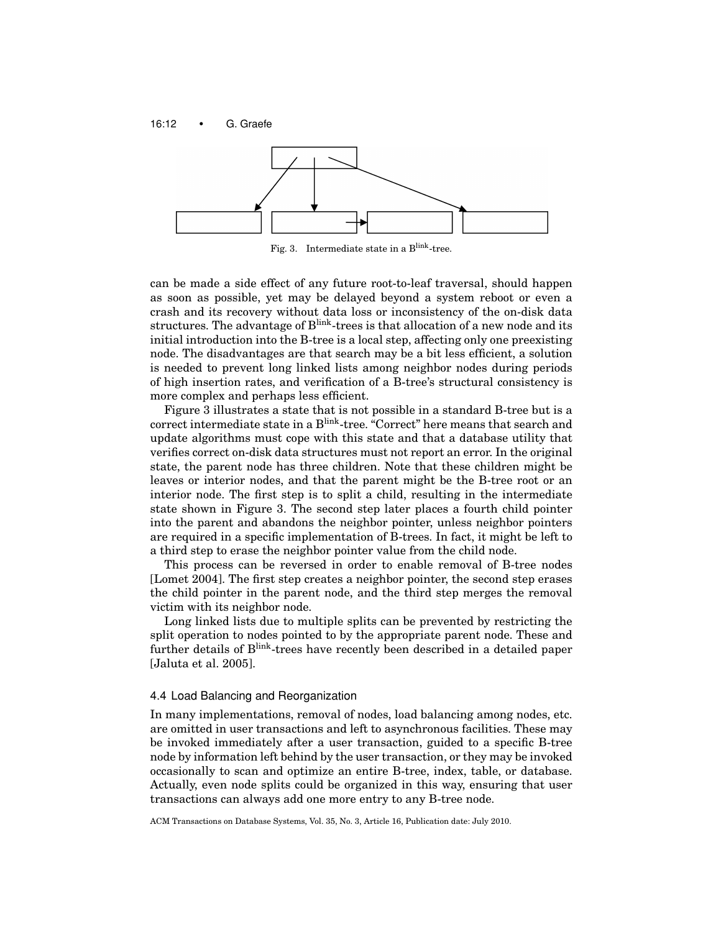



Fig. 3. Intermediate state in a Blink-tree.

can be made a side effect of any future root-to-leaf traversal, should happen as soon as possible, yet may be delayed beyond a system reboot or even a crash and its recovery without data loss or inconsistency of the on-disk data structures. The advantage of B<sup>link</sup>-trees is that allocation of a new node and its initial introduction into the B-tree is a local step, affecting only one preexisting node. The disadvantages are that search may be a bit less efficient, a solution is needed to prevent long linked lists among neighbor nodes during periods of high insertion rates, and verification of a B-tree's structural consistency is more complex and perhaps less efficient.

Figure 3 illustrates a state that is not possible in a standard B-tree but is a correct intermediate state in a Blink-tree. "Correct" here means that search and update algorithms must cope with this state and that a database utility that verifies correct on-disk data structures must not report an error. In the original state, the parent node has three children. Note that these children might be leaves or interior nodes, and that the parent might be the B-tree root or an interior node. The first step is to split a child, resulting in the intermediate state shown in Figure 3. The second step later places a fourth child pointer into the parent and abandons the neighbor pointer, unless neighbor pointers are required in a specific implementation of B-trees. In fact, it might be left to a third step to erase the neighbor pointer value from the child node.

This process can be reversed in order to enable removal of B-tree nodes [Lomet 2004]. The first step creates a neighbor pointer, the second step erases the child pointer in the parent node, and the third step merges the removal victim with its neighbor node.

Long linked lists due to multiple splits can be prevented by restricting the split operation to nodes pointed to by the appropriate parent node. These and further details of B<sup>link</sup>-trees have recently been described in a detailed paper [Jaluta et al. 2005].

#### 4.4 Load Balancing and Reorganization

In many implementations, removal of nodes, load balancing among nodes, etc. are omitted in user transactions and left to asynchronous facilities. These may be invoked immediately after a user transaction, guided to a specific B-tree node by information left behind by the user transaction, or they may be invoked occasionally to scan and optimize an entire B-tree, index, table, or database. Actually, even node splits could be organized in this way, ensuring that user transactions can always add one more entry to any B-tree node.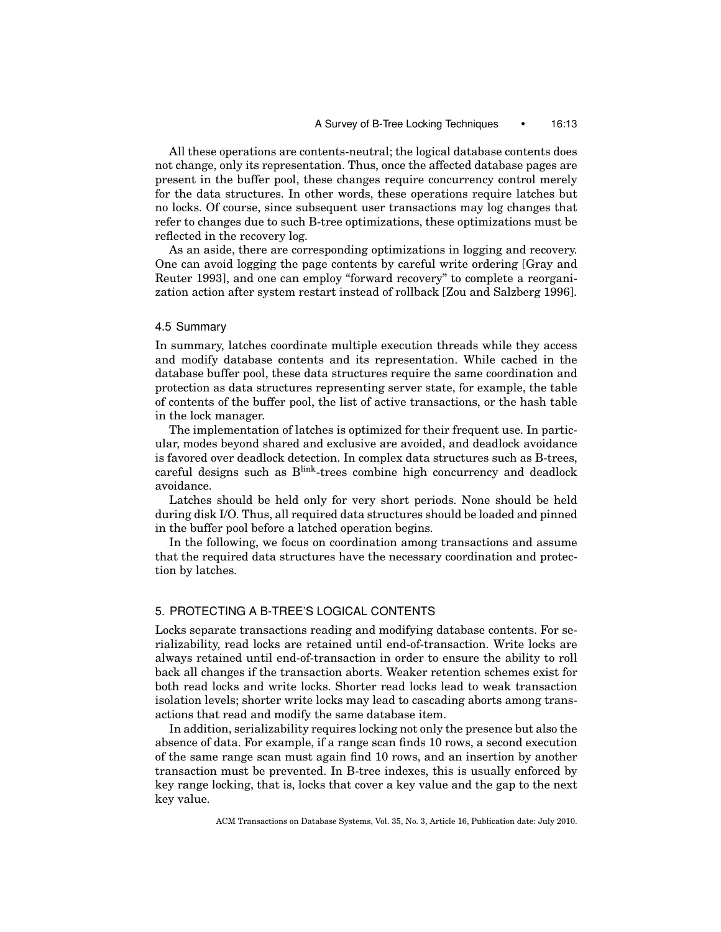All these operations are contents-neutral; the logical database contents does not change, only its representation. Thus, once the affected database pages are present in the buffer pool, these changes require concurrency control merely for the data structures. In other words, these operations require latches but no locks. Of course, since subsequent user transactions may log changes that refer to changes due to such B-tree optimizations, these optimizations must be reflected in the recovery log.

As an aside, there are corresponding optimizations in logging and recovery. One can avoid logging the page contents by careful write ordering [Gray and Reuter 1993], and one can employ "forward recovery" to complete a reorganization action after system restart instead of rollback [Zou and Salzberg 1996].

## 4.5 Summary

In summary, latches coordinate multiple execution threads while they access and modify database contents and its representation. While cached in the database buffer pool, these data structures require the same coordination and protection as data structures representing server state, for example, the table of contents of the buffer pool, the list of active transactions, or the hash table in the lock manager.

The implementation of latches is optimized for their frequent use. In particular, modes beyond shared and exclusive are avoided, and deadlock avoidance is favored over deadlock detection. In complex data structures such as B-trees, careful designs such as B<sup>link</sup>-trees combine high concurrency and deadlock avoidance.

Latches should be held only for very short periods. None should be held during disk I/O. Thus, all required data structures should be loaded and pinned in the buffer pool before a latched operation begins.

In the following, we focus on coordination among transactions and assume that the required data structures have the necessary coordination and protection by latches.

# 5. PROTECTING A B-TREE'S LOGICAL CONTENTS

Locks separate transactions reading and modifying database contents. For serializability, read locks are retained until end-of-transaction. Write locks are always retained until end-of-transaction in order to ensure the ability to roll back all changes if the transaction aborts. Weaker retention schemes exist for both read locks and write locks. Shorter read locks lead to weak transaction isolation levels; shorter write locks may lead to cascading aborts among transactions that read and modify the same database item.

In addition, serializability requires locking not only the presence but also the absence of data. For example, if a range scan finds 10 rows, a second execution of the same range scan must again find 10 rows, and an insertion by another transaction must be prevented. In B-tree indexes, this is usually enforced by key range locking, that is, locks that cover a key value and the gap to the next key value.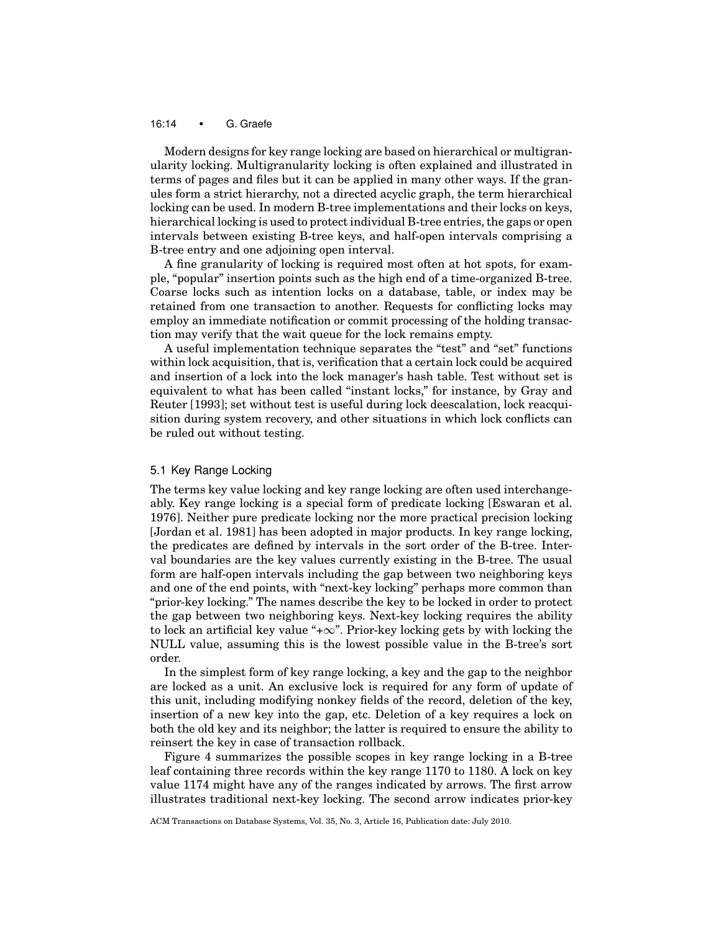#### 16:14 • G. Graefe

Modern designs for key range locking are based on hierarchical or multigranularity locking. Multigranularity locking is often explained and illustrated in terms of pages and files but it can be applied in many other ways. If the granules form a strict hierarchy, not a directed acyclic graph, the term hierarchical locking can be used. In modern B-tree implementations and their locks on keys, hierarchical locking is used to protect individual B-tree entries, the gaps or open intervals between existing B-tree keys, and half-open intervals comprising a B-tree entry and one adjoining open interval.

A fine granularity of locking is required most often at hot spots, for example, "popular" insertion points such as the high end of a time-organized B-tree. Coarse locks such as intention locks on a database, table, or index may be retained from one transaction to another. Requests for conflicting locks may employ an immediate notification or commit processing of the holding transaction may verify that the wait queue for the lock remains empty.

A useful implementation technique separates the "test" and "set" functions within lock acquisition, that is, verification that a certain lock could be acquired and insertion of a lock into the lock manager's hash table. Test without set is equivalent to what has been called "instant locks," for instance, by Gray and Reuter [1993]; set without test is useful during lock deescalation, lock reacquisition during system recovery, and other situations in which lock conflicts can be ruled out without testing.

#### 5.1 Key Range Locking

The terms key value locking and key range locking are often used interchangeably. Key range locking is a special form of predicate locking [Eswaran et al. 1976]. Neither pure predicate locking nor the more practical precision locking [Jordan et al. 1981] has been adopted in major products. In key range locking, the predicates are defined by intervals in the sort order of the B-tree. Interval boundaries are the key values currently existing in the B-tree. The usual form are half-open intervals including the gap between two neighboring keys and one of the end points, with "next-key locking" perhaps more common than "prior-key locking." The names describe the key to be locked in order to protect the gap between two neighboring keys. Next-key locking requires the ability to lock an artificial key value "+ $\infty$ ". Prior-key locking gets by with locking the NULL value, assuming this is the lowest possible value in the B-tree's sort order.

In the simplest form of key range locking, a key and the gap to the neighbor are locked as a unit. An exclusive lock is required for any form of update of this unit, including modifying nonkey fields of the record, deletion of the key, insertion of a new key into the gap, etc. Deletion of a key requires a lock on both the old key and its neighbor; the latter is required to ensure the ability to reinsert the key in case of transaction rollback.

Figure 4 summarizes the possible scopes in key range locking in a B-tree leaf containing three records within the key range 1170 to 1180. A lock on key value 1174 might have any of the ranges indicated by arrows. The first arrow illustrates traditional next-key locking. The second arrow indicates prior-key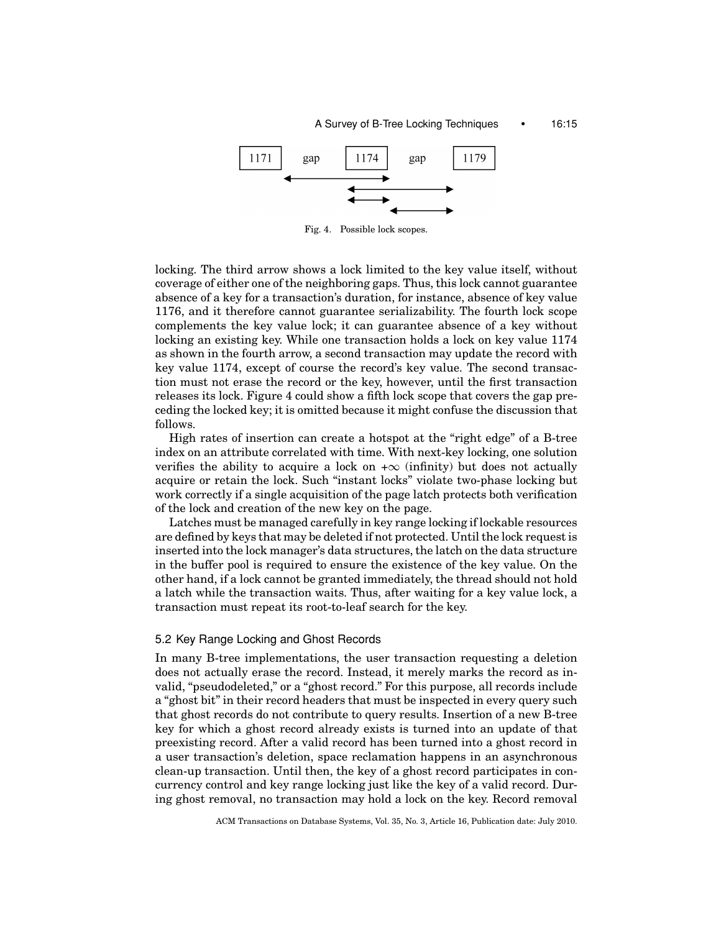#### A Survey of B-Tree Locking Techniques • 16:15



Fig. 4. Possible lock scopes.

locking. The third arrow shows a lock limited to the key value itself, without coverage of either one of the neighboring gaps. Thus, this lock cannot guarantee absence of a key for a transaction's duration, for instance, absence of key value 1176, and it therefore cannot guarantee serializability. The fourth lock scope complements the key value lock; it can guarantee absence of a key without locking an existing key. While one transaction holds a lock on key value 1174 as shown in the fourth arrow, a second transaction may update the record with key value 1174, except of course the record's key value. The second transaction must not erase the record or the key, however, until the first transaction releases its lock. Figure 4 could show a fifth lock scope that covers the gap preceding the locked key; it is omitted because it might confuse the discussion that follows.

High rates of insertion can create a hotspot at the "right edge" of a B-tree index on an attribute correlated with time. With next-key locking, one solution verifies the ability to acquire a lock on  $+\infty$  (infinity) but does not actually acquire or retain the lock. Such "instant locks" violate two-phase locking but work correctly if a single acquisition of the page latch protects both verification of the lock and creation of the new key on the page.

Latches must be managed carefully in key range locking if lockable resources are defined by keys that may be deleted if not protected. Until the lock request is inserted into the lock manager's data structures, the latch on the data structure in the buffer pool is required to ensure the existence of the key value. On the other hand, if a lock cannot be granted immediately, the thread should not hold a latch while the transaction waits. Thus, after waiting for a key value lock, a transaction must repeat its root-to-leaf search for the key.

# 5.2 Key Range Locking and Ghost Records

In many B-tree implementations, the user transaction requesting a deletion does not actually erase the record. Instead, it merely marks the record as invalid, "pseudodeleted," or a "ghost record." For this purpose, all records include a "ghost bit" in their record headers that must be inspected in every query such that ghost records do not contribute to query results. Insertion of a new B-tree key for which a ghost record already exists is turned into an update of that preexisting record. After a valid record has been turned into a ghost record in a user transaction's deletion, space reclamation happens in an asynchronous clean-up transaction. Until then, the key of a ghost record participates in concurrency control and key range locking just like the key of a valid record. During ghost removal, no transaction may hold a lock on the key. Record removal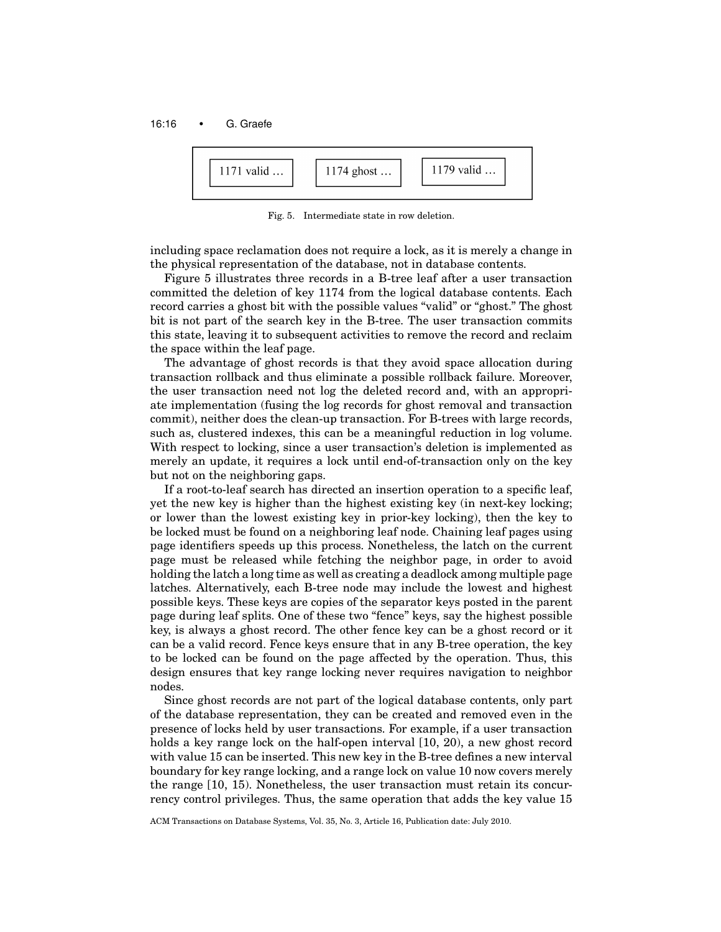16:16 • G. Graefe



Fig. 5. Intermediate state in row deletion.

including space reclamation does not require a lock, as it is merely a change in the physical representation of the database, not in database contents.

Figure 5 illustrates three records in a B-tree leaf after a user transaction committed the deletion of key 1174 from the logical database contents. Each record carries a ghost bit with the possible values "valid" or "ghost." The ghost bit is not part of the search key in the B-tree. The user transaction commits this state, leaving it to subsequent activities to remove the record and reclaim the space within the leaf page.

The advantage of ghost records is that they avoid space allocation during transaction rollback and thus eliminate a possible rollback failure. Moreover, the user transaction need not log the deleted record and, with an appropriate implementation (fusing the log records for ghost removal and transaction commit), neither does the clean-up transaction. For B-trees with large records, such as, clustered indexes, this can be a meaningful reduction in log volume. With respect to locking, since a user transaction's deletion is implemented as merely an update, it requires a lock until end-of-transaction only on the key but not on the neighboring gaps.

If a root-to-leaf search has directed an insertion operation to a specific leaf, yet the new key is higher than the highest existing key (in next-key locking; or lower than the lowest existing key in prior-key locking), then the key to be locked must be found on a neighboring leaf node. Chaining leaf pages using page identifiers speeds up this process. Nonetheless, the latch on the current page must be released while fetching the neighbor page, in order to avoid holding the latch a long time as well as creating a deadlock among multiple page latches. Alternatively, each B-tree node may include the lowest and highest possible keys. These keys are copies of the separator keys posted in the parent page during leaf splits. One of these two "fence" keys, say the highest possible key, is always a ghost record. The other fence key can be a ghost record or it can be a valid record. Fence keys ensure that in any B-tree operation, the key to be locked can be found on the page affected by the operation. Thus, this design ensures that key range locking never requires navigation to neighbor nodes.

Since ghost records are not part of the logical database contents, only part of the database representation, they can be created and removed even in the presence of locks held by user transactions. For example, if a user transaction holds a key range lock on the half-open interval [10, 20), a new ghost record with value 15 can be inserted. This new key in the B-tree defines a new interval boundary for key range locking, and a range lock on value 10 now covers merely the range [10, 15). Nonetheless, the user transaction must retain its concurrency control privileges. Thus, the same operation that adds the key value 15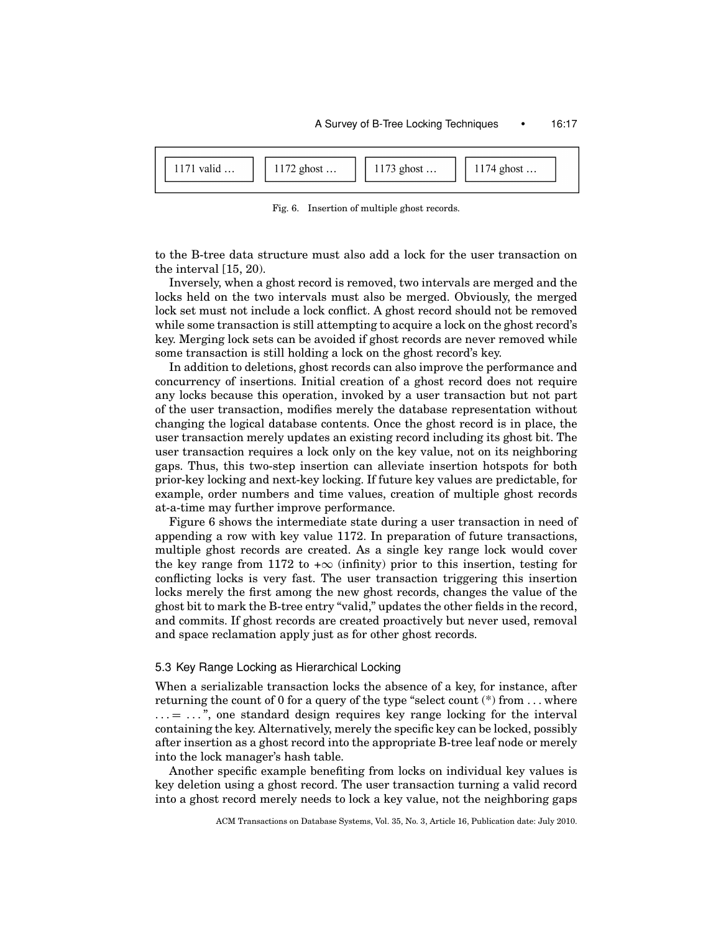#### A Survey of B-Tree Locking Techniques • 16:17



Fig. 6. Insertion of multiple ghost records.

to the B-tree data structure must also add a lock for the user transaction on the interval [15, 20).

Inversely, when a ghost record is removed, two intervals are merged and the locks held on the two intervals must also be merged. Obviously, the merged lock set must not include a lock conflict. A ghost record should not be removed while some transaction is still attempting to acquire a lock on the ghost record's key. Merging lock sets can be avoided if ghost records are never removed while some transaction is still holding a lock on the ghost record's key.

In addition to deletions, ghost records can also improve the performance and concurrency of insertions. Initial creation of a ghost record does not require any locks because this operation, invoked by a user transaction but not part of the user transaction, modifies merely the database representation without changing the logical database contents. Once the ghost record is in place, the user transaction merely updates an existing record including its ghost bit. The user transaction requires a lock only on the key value, not on its neighboring gaps. Thus, this two-step insertion can alleviate insertion hotspots for both prior-key locking and next-key locking. If future key values are predictable, for example, order numbers and time values, creation of multiple ghost records at-a-time may further improve performance.

Figure 6 shows the intermediate state during a user transaction in need of appending a row with key value 1172. In preparation of future transactions, multiple ghost records are created. As a single key range lock would cover the key range from 1172 to  $+\infty$  (infinity) prior to this insertion, testing for conflicting locks is very fast. The user transaction triggering this insertion locks merely the first among the new ghost records, changes the value of the ghost bit to mark the B-tree entry "valid," updates the other fields in the record, and commits. If ghost records are created proactively but never used, removal and space reclamation apply just as for other ghost records.

## 5.3 Key Range Locking as Hierarchical Locking

When a serializable transaction locks the absence of a key, for instance, after returning the count of 0 for a query of the type "select count  $(*)$  from  $\dots$  where  $\dots = \dots$ , one standard design requires key range locking for the interval containing the key. Alternatively, merely the specific key can be locked, possibly after insertion as a ghost record into the appropriate B-tree leaf node or merely into the lock manager's hash table.

Another specific example benefiting from locks on individual key values is key deletion using a ghost record. The user transaction turning a valid record into a ghost record merely needs to lock a key value, not the neighboring gaps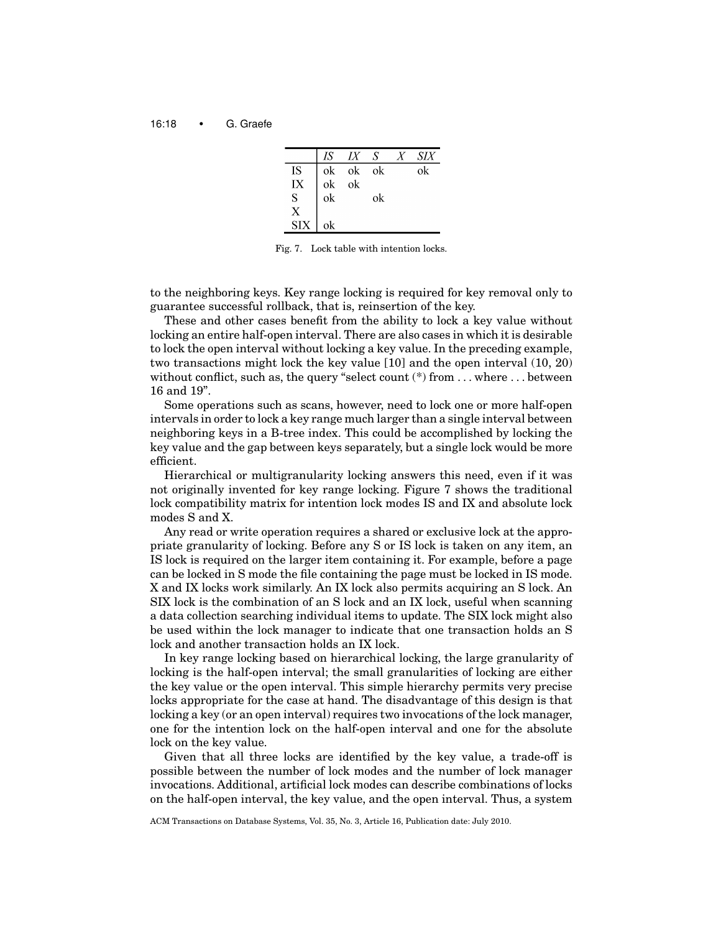|                         | IS | $IX$ S                                                                     | X | SIX |
|-------------------------|----|----------------------------------------------------------------------------|---|-----|
|                         |    | $\begin{tabular}{ccc} ok & ok & ok \\ ok & ok \\ ok & ok \\ \end{tabular}$ |   | ok  |
| IS<br>IX<br>S<br>X      |    |                                                                            |   |     |
|                         |    |                                                                            |   |     |
|                         |    |                                                                            |   |     |
| $\overline{\text{SIX}}$ | ok |                                                                            |   |     |

Fig. 7. Lock table with intention locks.

to the neighboring keys. Key range locking is required for key removal only to guarantee successful rollback, that is, reinsertion of the key.

These and other cases benefit from the ability to lock a key value without locking an entire half-open interval. There are also cases in which it is desirable to lock the open interval without locking a key value. In the preceding example, two transactions might lock the key value [10] and the open interval (10, 20) without conflict, such as, the query "select count (\*) from . . . where . . . between 16 and 19".

Some operations such as scans, however, need to lock one or more half-open intervals in order to lock a key range much larger than a single interval between neighboring keys in a B-tree index. This could be accomplished by locking the key value and the gap between keys separately, but a single lock would be more efficient.

Hierarchical or multigranularity locking answers this need, even if it was not originally invented for key range locking. Figure 7 shows the traditional lock compatibility matrix for intention lock modes IS and IX and absolute lock modes S and X.

Any read or write operation requires a shared or exclusive lock at the appropriate granularity of locking. Before any S or IS lock is taken on any item, an IS lock is required on the larger item containing it. For example, before a page can be locked in S mode the file containing the page must be locked in IS mode. X and IX locks work similarly. An IX lock also permits acquiring an S lock. An SIX lock is the combination of an S lock and an IX lock, useful when scanning a data collection searching individual items to update. The SIX lock might also be used within the lock manager to indicate that one transaction holds an S lock and another transaction holds an IX lock.

In key range locking based on hierarchical locking, the large granularity of locking is the half-open interval; the small granularities of locking are either the key value or the open interval. This simple hierarchy permits very precise locks appropriate for the case at hand. The disadvantage of this design is that locking a key (or an open interval) requires two invocations of the lock manager, one for the intention lock on the half-open interval and one for the absolute lock on the key value.

Given that all three locks are identified by the key value, a trade-off is possible between the number of lock modes and the number of lock manager invocations. Additional, artificial lock modes can describe combinations of locks on the half-open interval, the key value, and the open interval. Thus, a system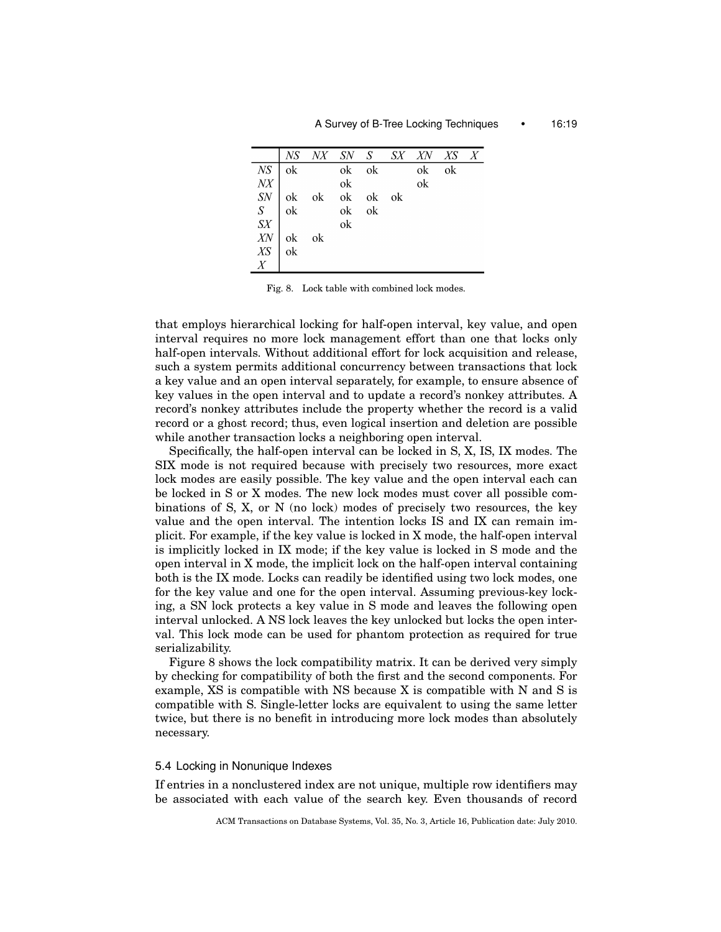A Survey of B-Tree Locking Techniques • 16:19

|  | NS NX SN S SX XN XS X |  |  |  |
|--|-----------------------|--|--|--|
|  |                       |  |  |  |
|  |                       |  |  |  |
|  |                       |  |  |  |
|  |                       |  |  |  |
|  |                       |  |  |  |
|  |                       |  |  |  |
|  |                       |  |  |  |
|  |                       |  |  |  |

Fig. 8. Lock table with combined lock modes.

that employs hierarchical locking for half-open interval, key value, and open interval requires no more lock management effort than one that locks only half-open intervals. Without additional effort for lock acquisition and release, such a system permits additional concurrency between transactions that lock a key value and an open interval separately, for example, to ensure absence of key values in the open interval and to update a record's nonkey attributes. A record's nonkey attributes include the property whether the record is a valid record or a ghost record; thus, even logical insertion and deletion are possible while another transaction locks a neighboring open interval.

Specifically, the half-open interval can be locked in S, X, IS, IX modes. The SIX mode is not required because with precisely two resources, more exact lock modes are easily possible. The key value and the open interval each can be locked in S or X modes. The new lock modes must cover all possible combinations of S, X, or N (no lock) modes of precisely two resources, the key value and the open interval. The intention locks IS and IX can remain implicit. For example, if the key value is locked in X mode, the half-open interval is implicitly locked in IX mode; if the key value is locked in S mode and the open interval in X mode, the implicit lock on the half-open interval containing both is the IX mode. Locks can readily be identified using two lock modes, one for the key value and one for the open interval. Assuming previous-key locking, a SN lock protects a key value in S mode and leaves the following open interval unlocked. A NS lock leaves the key unlocked but locks the open interval. This lock mode can be used for phantom protection as required for true serializability.

Figure 8 shows the lock compatibility matrix. It can be derived very simply by checking for compatibility of both the first and the second components. For example, XS is compatible with NS because X is compatible with N and S is compatible with S. Single-letter locks are equivalent to using the same letter twice, but there is no benefit in introducing more lock modes than absolutely necessary.

### 5.4 Locking in Nonunique Indexes

If entries in a nonclustered index are not unique, multiple row identifiers may be associated with each value of the search key. Even thousands of record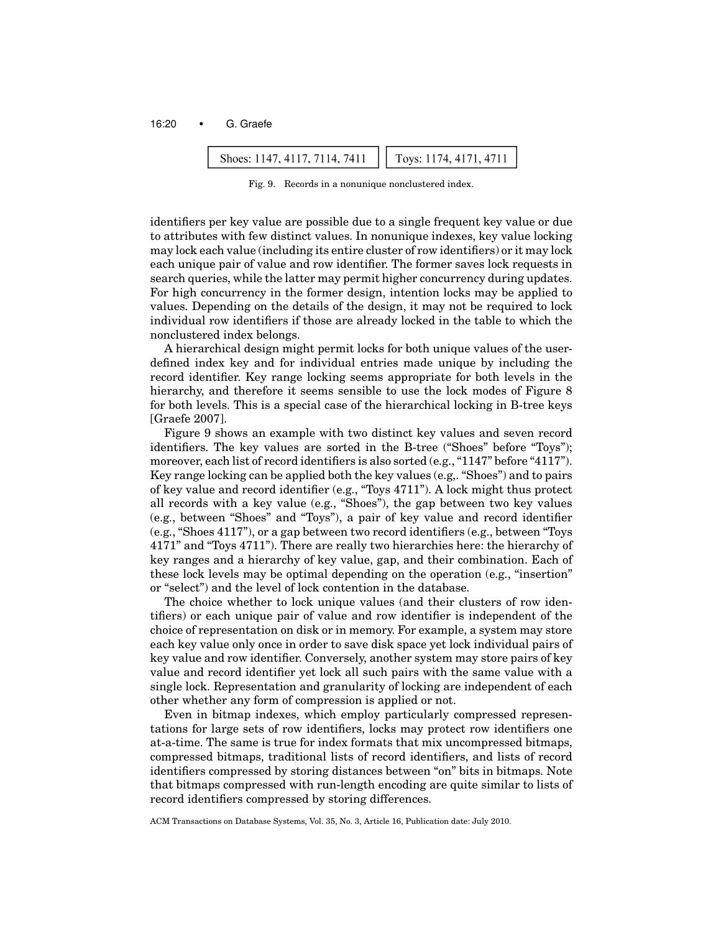16:20 • G. Graefe

| Shoes: 1147, 4117, 7114, 7411 | Toys: 1174, 4171, 471 |
|-------------------------------|-----------------------|
|-------------------------------|-----------------------|

Fig. 9. Records in a nonunique nonclustered index.

identifiers per key value are possible due to a single frequent key value or due to attributes with few distinct values. In nonunique indexes, key value locking may lock each value (including its entire cluster of row identifiers) or it may lock each unique pair of value and row identifier. The former saves lock requests in search queries, while the latter may permit higher concurrency during updates. For high concurrency in the former design, intention locks may be applied to values. Depending on the details of the design, it may not be required to lock individual row identifiers if those are already locked in the table to which the nonclustered index belongs.

A hierarchical design might permit locks for both unique values of the userdefined index key and for individual entries made unique by including the record identifier. Key range locking seems appropriate for both levels in the hierarchy, and therefore it seems sensible to use the lock modes of Figure 8 for both levels. This is a special case of the hierarchical locking in B-tree keys [Graefe 2007].

Figure 9 shows an example with two distinct key values and seven record identifiers. The key values are sorted in the B-tree ("Shoes" before "Toys"); moreover, each list of record identifiers is also sorted (e.g., "1147" before "4117"). Key range locking can be applied both the key values (e.g,. "Shoes") and to pairs of key value and record identifier (e.g., "Toys 4711"). A lock might thus protect all records with a key value (e.g., "Shoes"), the gap between two key values (e.g., between "Shoes" and "Toys"), a pair of key value and record identifier (e.g., "Shoes 4117"), or a gap between two record identifiers (e.g., between "Toys 4171" and "Toys 4711"). There are really two hierarchies here: the hierarchy of key ranges and a hierarchy of key value, gap, and their combination. Each of these lock levels may be optimal depending on the operation (e.g., "insertion" or "select") and the level of lock contention in the database.

The choice whether to lock unique values (and their clusters of row identifiers) or each unique pair of value and row identifier is independent of the choice of representation on disk or in memory. For example, a system may store each key value only once in order to save disk space yet lock individual pairs of key value and row identifier. Conversely, another system may store pairs of key value and record identifier yet lock all such pairs with the same value with a single lock. Representation and granularity of locking are independent of each other whether any form of compression is applied or not.

Even in bitmap indexes, which employ particularly compressed representations for large sets of row identifiers, locks may protect row identifiers one at-a-time. The same is true for index formats that mix uncompressed bitmaps, compressed bitmaps, traditional lists of record identifiers, and lists of record identifiers compressed by storing distances between "on" bits in bitmaps. Note that bitmaps compressed with run-length encoding are quite similar to lists of record identifiers compressed by storing differences.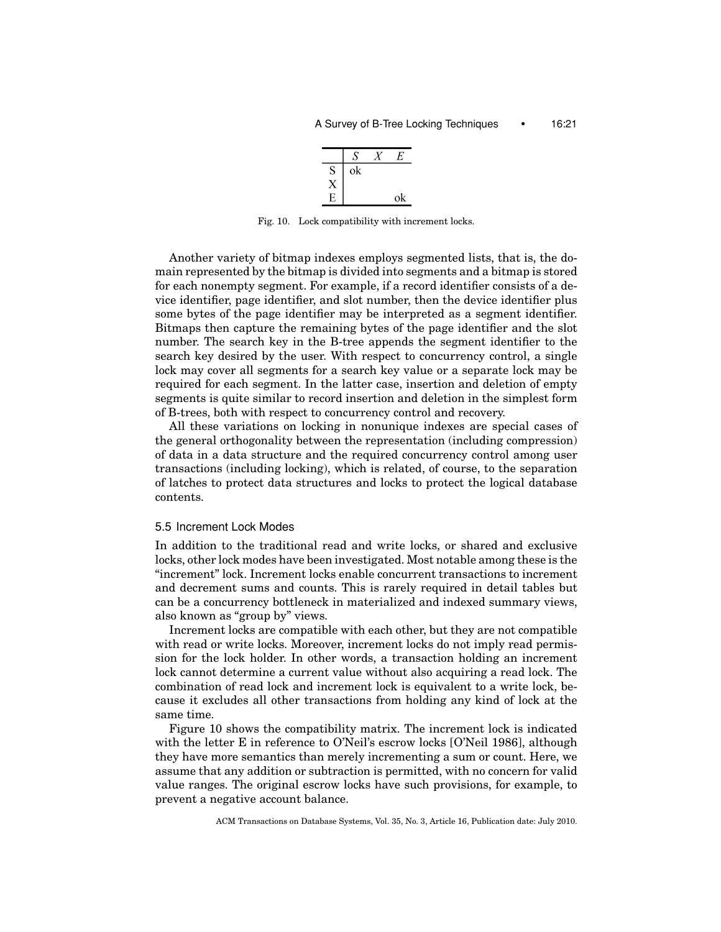

Fig. 10. Lock compatibility with increment locks.

Another variety of bitmap indexes employs segmented lists, that is, the domain represented by the bitmap is divided into segments and a bitmap is stored for each nonempty segment. For example, if a record identifier consists of a device identifier, page identifier, and slot number, then the device identifier plus some bytes of the page identifier may be interpreted as a segment identifier. Bitmaps then capture the remaining bytes of the page identifier and the slot number. The search key in the B-tree appends the segment identifier to the search key desired by the user. With respect to concurrency control, a single lock may cover all segments for a search key value or a separate lock may be required for each segment. In the latter case, insertion and deletion of empty segments is quite similar to record insertion and deletion in the simplest form of B-trees, both with respect to concurrency control and recovery.

All these variations on locking in nonunique indexes are special cases of the general orthogonality between the representation (including compression) of data in a data structure and the required concurrency control among user transactions (including locking), which is related, of course, to the separation of latches to protect data structures and locks to protect the logical database contents.

#### 5.5 Increment Lock Modes

In addition to the traditional read and write locks, or shared and exclusive locks, other lock modes have been investigated. Most notable among these is the "increment" lock. Increment locks enable concurrent transactions to increment and decrement sums and counts. This is rarely required in detail tables but can be a concurrency bottleneck in materialized and indexed summary views, also known as "group by" views.

Increment locks are compatible with each other, but they are not compatible with read or write locks. Moreover, increment locks do not imply read permission for the lock holder. In other words, a transaction holding an increment lock cannot determine a current value without also acquiring a read lock. The combination of read lock and increment lock is equivalent to a write lock, because it excludes all other transactions from holding any kind of lock at the same time.

Figure 10 shows the compatibility matrix. The increment lock is indicated with the letter E in reference to O'Neil's escrow locks [O'Neil 1986], although they have more semantics than merely incrementing a sum or count. Here, we assume that any addition or subtraction is permitted, with no concern for valid value ranges. The original escrow locks have such provisions, for example, to prevent a negative account balance.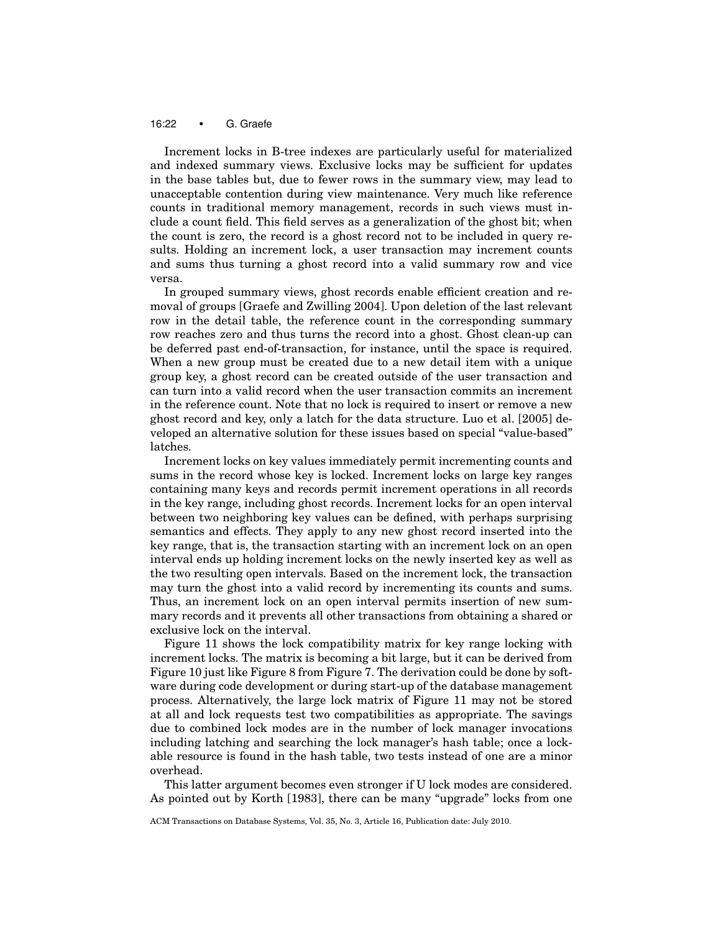#### 16:22 • G. Graefe

Increment locks in B-tree indexes are particularly useful for materialized and indexed summary views. Exclusive locks may be sufficient for updates in the base tables but, due to fewer rows in the summary view, may lead to unacceptable contention during view maintenance. Very much like reference counts in traditional memory management, records in such views must include a count field. This field serves as a generalization of the ghost bit; when the count is zero, the record is a ghost record not to be included in query results. Holding an increment lock, a user transaction may increment counts and sums thus turning a ghost record into a valid summary row and vice versa.

In grouped summary views, ghost records enable efficient creation and removal of groups [Graefe and Zwilling 2004]. Upon deletion of the last relevant row in the detail table, the reference count in the corresponding summary row reaches zero and thus turns the record into a ghost. Ghost clean-up can be deferred past end-of-transaction, for instance, until the space is required. When a new group must be created due to a new detail item with a unique group key, a ghost record can be created outside of the user transaction and can turn into a valid record when the user transaction commits an increment in the reference count. Note that no lock is required to insert or remove a new ghost record and key, only a latch for the data structure. Luo et al. [2005] developed an alternative solution for these issues based on special "value-based" latches.

Increment locks on key values immediately permit incrementing counts and sums in the record whose key is locked. Increment locks on large key ranges containing many keys and records permit increment operations in all records in the key range, including ghost records. Increment locks for an open interval between two neighboring key values can be defined, with perhaps surprising semantics and effects. They apply to any new ghost record inserted into the key range, that is, the transaction starting with an increment lock on an open interval ends up holding increment locks on the newly inserted key as well as the two resulting open intervals. Based on the increment lock, the transaction may turn the ghost into a valid record by incrementing its counts and sums. Thus, an increment lock on an open interval permits insertion of new summary records and it prevents all other transactions from obtaining a shared or exclusive lock on the interval.

Figure 11 shows the lock compatibility matrix for key range locking with increment locks. The matrix is becoming a bit large, but it can be derived from Figure 10 just like Figure 8 from Figure 7. The derivation could be done by software during code development or during start-up of the database management process. Alternatively, the large lock matrix of Figure 11 may not be stored at all and lock requests test two compatibilities as appropriate. The savings due to combined lock modes are in the number of lock manager invocations including latching and searching the lock manager's hash table; once a lockable resource is found in the hash table, two tests instead of one are a minor overhead.

This latter argument becomes even stronger if U lock modes are considered. As pointed out by Korth [1983], there can be many "upgrade" locks from one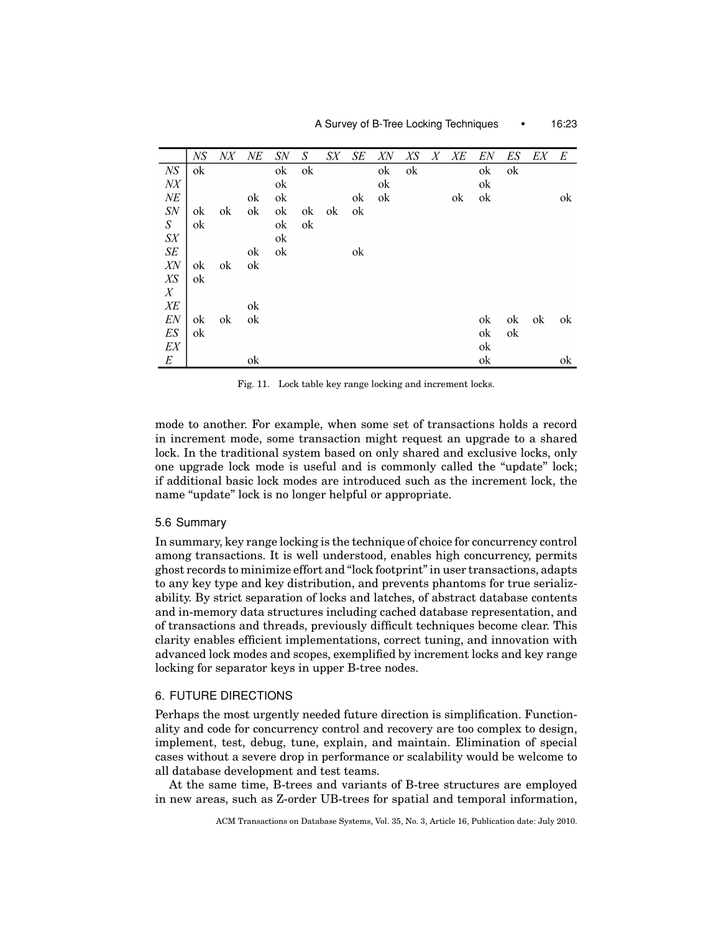|                                          | N <sub>S</sub> | $\mathcal{N}X$ | $N\!E$ | <b>SN</b>    | ${\cal S}$ | S X | SE | XN | XS | Χ | ΧE | EN | ES | EX | E  |
|------------------------------------------|----------------|----------------|--------|--------------|------------|-----|----|----|----|---|----|----|----|----|----|
| $N\!S$                                   | ok             |                |        | ok           | ok         |     |    | ok | ok |   |    | ok | ok |    |    |
| $\mathcal{N}X$                           |                |                |        | ok           |            |     |    | ok |    |   |    | ok |    |    |    |
| $N\!E$                                   |                |                | ok     | ok           |            |     | ok | ok |    |   | ok | ok |    |    | ok |
| ${\it SN}$                               | ok             | ok             | ok     | ok           | ok         | ok  | ok |    |    |   |    |    |    |    |    |
| $\boldsymbol{S}$                         | ok             |                |        | $\mathbf{X}$ | ok         |     |    |    |    |   |    |    |    |    |    |
| $\overline{SX}$                          |                |                |        | ok           |            |     |    |    |    |   |    |    |    |    |    |
| SE                                       |                |                | ok     | ok           |            |     | ok |    |    |   |    |    |    |    |    |
| $X\!N$                                   | ok             | ok             | ok     |              |            |     |    |    |    |   |    |    |    |    |    |
| $\begin{array}{c} X\!S \\ X \end{array}$ | ok             |                |        |              |            |     |    |    |    |   |    |    |    |    |    |
|                                          |                |                |        |              |            |     |    |    |    |   |    |    |    |    |    |
| $X\!E$                                   |                |                | ok     |              |            |     |    |    |    |   |    |    |    |    |    |
| ${\it EN}$                               | ok             | ok             | ok     |              |            |     |    |    |    |   |    | ok | ok | ok | ok |
| $E\mathcal{S}$                           | ok             |                |        |              |            |     |    |    |    |   |    | ok | ok |    |    |
| EX                                       |                |                |        |              |            |     |    |    |    |   |    | ok |    |    |    |
| $\boldsymbol{E}$                         |                |                | ok     |              |            |     |    |    |    |   |    | ok |    |    | ok |

Fig. 11. Lock table key range locking and increment locks.

mode to another. For example, when some set of transactions holds a record in increment mode, some transaction might request an upgrade to a shared lock. In the traditional system based on only shared and exclusive locks, only one upgrade lock mode is useful and is commonly called the "update" lock; if additional basic lock modes are introduced such as the increment lock, the name "update" lock is no longer helpful or appropriate.

# 5.6 Summary

In summary, key range locking is the technique of choice for concurrency control among transactions. It is well understood, enables high concurrency, permits ghost records to minimize effort and "lock footprint" in user transactions, adapts to any key type and key distribution, and prevents phantoms for true serializability. By strict separation of locks and latches, of abstract database contents and in-memory data structures including cached database representation, and of transactions and threads, previously difficult techniques become clear. This clarity enables efficient implementations, correct tuning, and innovation with advanced lock modes and scopes, exemplified by increment locks and key range locking for separator keys in upper B-tree nodes.

## 6. FUTURE DIRECTIONS

Perhaps the most urgently needed future direction is simplification. Functionality and code for concurrency control and recovery are too complex to design, implement, test, debug, tune, explain, and maintain. Elimination of special cases without a severe drop in performance or scalability would be welcome to all database development and test teams.

At the same time, B-trees and variants of B-tree structures are employed in new areas, such as Z-order UB-trees for spatial and temporal information,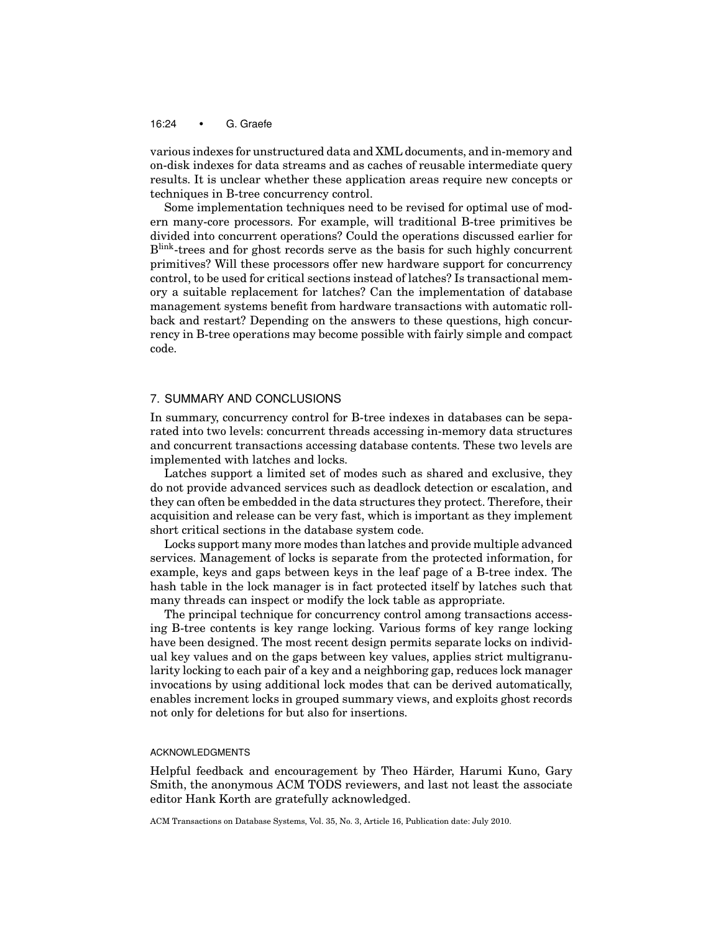#### 16:24 • G. Graefe

various indexes for unstructured data and XML documents, and in-memory and on-disk indexes for data streams and as caches of reusable intermediate query results. It is unclear whether these application areas require new concepts or techniques in B-tree concurrency control.

Some implementation techniques need to be revised for optimal use of modern many-core processors. For example, will traditional B-tree primitives be divided into concurrent operations? Could the operations discussed earlier for B<sup>link</sup>-trees and for ghost records serve as the basis for such highly concurrent primitives? Will these processors offer new hardware support for concurrency control, to be used for critical sections instead of latches? Is transactional memory a suitable replacement for latches? Can the implementation of database management systems benefit from hardware transactions with automatic rollback and restart? Depending on the answers to these questions, high concurrency in B-tree operations may become possible with fairly simple and compact code.

# 7. SUMMARY AND CONCLUSIONS

In summary, concurrency control for B-tree indexes in databases can be separated into two levels: concurrent threads accessing in-memory data structures and concurrent transactions accessing database contents. These two levels are implemented with latches and locks.

Latches support a limited set of modes such as shared and exclusive, they do not provide advanced services such as deadlock detection or escalation, and they can often be embedded in the data structures they protect. Therefore, their acquisition and release can be very fast, which is important as they implement short critical sections in the database system code.

Locks support many more modes than latches and provide multiple advanced services. Management of locks is separate from the protected information, for example, keys and gaps between keys in the leaf page of a B-tree index. The hash table in the lock manager is in fact protected itself by latches such that many threads can inspect or modify the lock table as appropriate.

The principal technique for concurrency control among transactions accessing B-tree contents is key range locking. Various forms of key range locking have been designed. The most recent design permits separate locks on individual key values and on the gaps between key values, applies strict multigranularity locking to each pair of a key and a neighboring gap, reduces lock manager invocations by using additional lock modes that can be derived automatically, enables increment locks in grouped summary views, and exploits ghost records not only for deletions for but also for insertions.

## ACKNOWLEDGMENTS

Helpful feedback and encouragement by Theo Härder, Harumi Kuno, Gary Smith, the anonymous ACM TODS reviewers, and last not least the associate editor Hank Korth are gratefully acknowledged.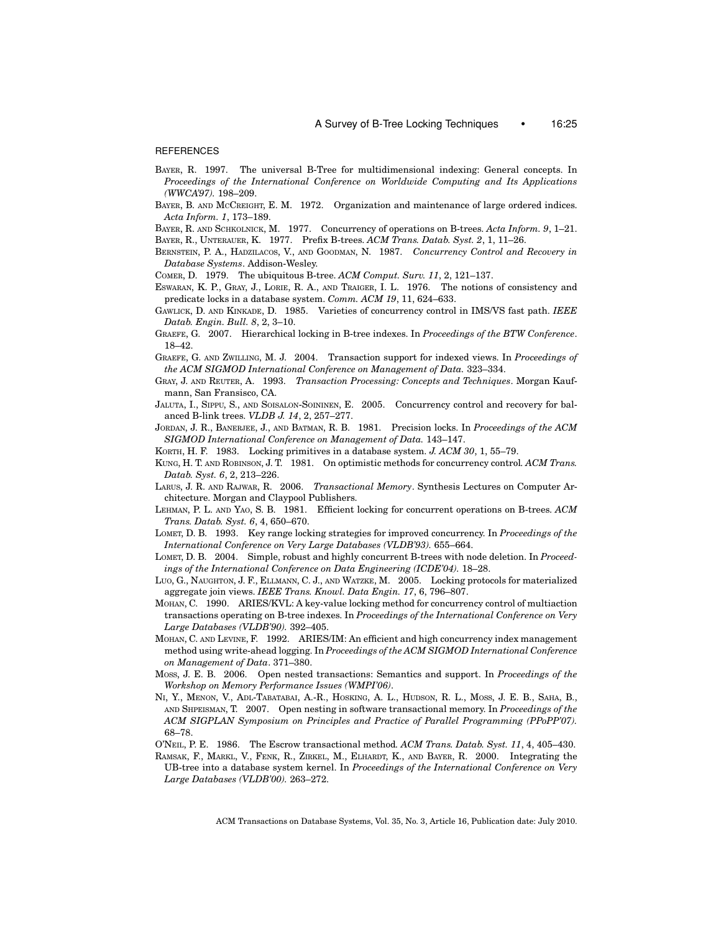**REFERENCES** 

- BAYER, R. 1997. The universal B-Tree for multidimensional indexing: General concepts. In *Proceedings of the International Conference on Worldwide Computing and Its Applications (WWCA'97).* 198–209.
- BAYER, B. AND MCCREIGHT, E. M. 1972. Organization and maintenance of large ordered indices. *Acta Inform. 1*, 173–189.

BAYER, R. AND SCHKOLNICK, M. 1977. Concurrency of operations on B-trees. *Acta Inform. 9*, 1–21.

- BAYER, R., UNTERAUER, K. 1977. Prefix B-trees. *ACM Trans. Datab. Syst. 2*, 1, 11–26.
- BERNSTEIN, P. A., HADZILACOS, V., AND GOODMAN, N. 1987. *Concurrency Control and Recovery in Database Systems*. Addison-Wesley.

COMER, D. 1979. The ubiquitous B-tree. *ACM Comput. Surv. 11*, 2, 121–137.

- ESWARAN, K. P., GRAY, J., LORIE, R. A., AND TRAIGER, I. L. 1976. The notions of consistency and predicate locks in a database system. *Comm. ACM 19*, 11, 624–633.
- GAWLICK, D. AND KINKADE, D. 1985. Varieties of concurrency control in IMS/VS fast path. *IEEE Datab. Engin. Bull. 8*, 2, 3–10.
- GRAEFE, G. 2007. Hierarchical locking in B-tree indexes. In *Proceedings of the BTW Conference*. 18–42.
- GRAEFE, G. AND ZWILLING, M. J. 2004. Transaction support for indexed views. In *Proceedings of the ACM SIGMOD International Conference on Management of Data.* 323–334.
- GRAY, J. AND REUTER, A. 1993. *Transaction Processing: Concepts and Techniques*. Morgan Kaufmann, San Fransisco, CA.
- JALUTA, I., SIPPU, S., AND SOISALON-SOININEN, E. 2005. Concurrency control and recovery for balanced B-link trees. *VLDB J. 14*, 2, 257–277.
- JORDAN, J. R., BANERJEE, J., AND BATMAN, R. B. 1981. Precision locks. In *Proceedings of the ACM SIGMOD International Conference on Management of Data.* 143–147.
- KORTH, H. F. 1983. Locking primitives in a database system. *J. ACM 30*, 1, 55–79.
- KUNG, H. T. AND ROBINSON, J. T. 1981. On optimistic methods for concurrency control*. ACM Trans. Datab. Syst. 6*, 2, 213–226.
- LARUS, J. R. AND RAJWAR, R. 2006. *Transactional Memory*. Synthesis Lectures on Computer Architecture. Morgan and Claypool Publishers.
- LEHMAN, P. L. AND YAO, S. B. 1981. Efficient locking for concurrent operations on B-trees. *ACM Trans. Datab. Syst. 6*, 4, 650–670.
- LOMET, D. B. 1993. Key range locking strategies for improved concurrency. In *Proceedings of the International Conference on Very Large Databases (VLDB'93).* 655–664.
- LOMET, D. B. 2004. Simple, robust and highly concurrent B-trees with node deletion. In *Proceedings of the International Conference on Data Engineering (ICDE'04).* 18–28.
- LUO, G., NAUGHTON, J. F., ELLMANN, C. J., AND WATZKE, M. 2005. Locking protocols for materialized aggregate join views. *IEEE Trans. Knowl. Data Engin. 17*, 6, 796–807.
- MOHAN, C. 1990. ARIES/KVL: A key-value locking method for concurrency control of multiaction transactions operating on B-tree indexes. In *Proceedings of the International Conference on Very Large Databases (VLDB'90).* 392–405.
- MOHAN, C. AND LEVINE, F. 1992. ARIES/IM: An efficient and high concurrency index management method using write-ahead logging. In *Proceedings of the ACM SIGMOD International Conference on Management of Data*. 371–380.
- MOSS, J. E. B. 2006. Open nested transactions: Semantics and support. In *Proceedings of the Workshop on Memory Performance Issues (WMPI'06)*.
- NI, Y., MENON, V., ADL-TABATABAI, A.-R., HOSKING, A. L., HUDSON, R. L., MOSS, J. E. B., SAHA, B., AND SHPEISMAN, T. 2007. Open nesting in software transactional memory. In *Proceedings of the ACM SIGPLAN Symposium on Principles and Practice of Parallel Programming (PPoPP'07).* 68–78.
- O'NEIL, P. E. 1986. The Escrow transactional method*. ACM Trans. Datab. Syst. 11*, 4, 405–430.
- RAMSAK, F., MARKL, V., FENK, R., ZIRKEL, M., ELHARDT, K., AND BAYER, R. 2000. Integrating the UB-tree into a database system kernel. In *Proceedings of the International Conference on Very Large Databases (VLDB'00).* 263–272.